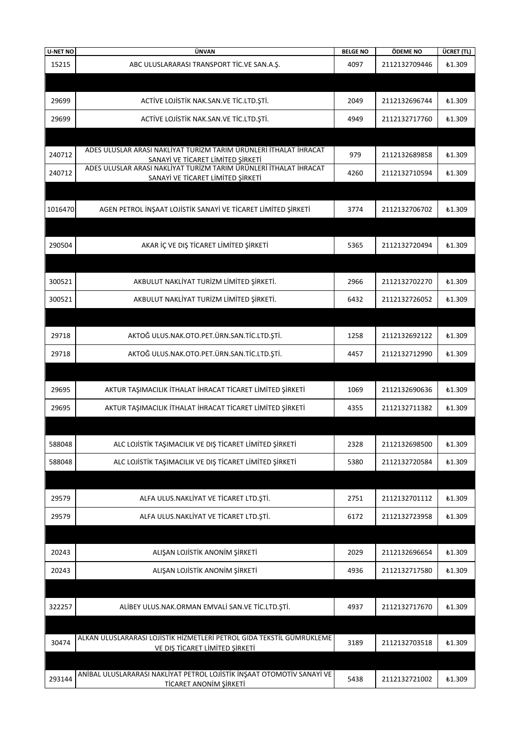| <b>U-NET NO</b> | ÜNVAN                                                                                                  | <b>BELGE NO</b> | ÖDEME NO      | ÜCRET (TL)    |
|-----------------|--------------------------------------------------------------------------------------------------------|-----------------|---------------|---------------|
| 15215           | ABC ULUSLARARASI TRANSPORT TIC.VE SAN.A.Ş.                                                             | 4097            | 2112132709446 | £1.309        |
|                 |                                                                                                        |                 |               |               |
|                 |                                                                                                        |                 |               |               |
| 29699           | ACTIVE LOJISTIK NAK.SAN.VE TIC.LTD.ŞTİ.                                                                | 2049            | 2112132696744 | <b>£1.309</b> |
| 29699           | ACTIVE LOJISTIK NAK.SAN.VE TIC.LTD.ŞTI.                                                                | 4949            | 2112132717760 | £1.309        |
|                 |                                                                                                        |                 |               |               |
|                 |                                                                                                        |                 |               |               |
| 240712          | ADES ULUSLAR ARASI NAKLİYAT TURİZM TARIM ÜRÜNLERİ İTHALAT İHRACAT<br>SANAYİ VE TİCARET LİMİTED ŞİRKETİ | 979             | 2112132689858 | <b>£1.309</b> |
| 240712          | ADES ULUSLAR ARASI NAKLIYAT TURIZM TARIM ÜRÜNLERI İTHALAT İHRACAT                                      | 4260            | 2112132710594 | £1.309        |
|                 | SANAYİ VE TİCARET LİMİTED ŞİRKETİ                                                                      |                 |               |               |
|                 |                                                                                                        |                 |               |               |
| 1016470         | AGEN PETROL İNŞAAT LOJİSTİK SANAYİ VE TİCARET LİMİTED ŞİRKETİ                                          | 3774            | 2112132706702 | £1.309        |
|                 |                                                                                                        |                 |               |               |
|                 |                                                                                                        |                 |               |               |
| 290504          | AKAR İÇ VE DIŞ TİCARET LİMİTED ŞİRKETİ                                                                 | 5365            | 2112132720494 | £1.309        |
|                 |                                                                                                        |                 |               |               |
| 300521          | AKBULUT NAKLİYAT TURİZM LİMİTED ŞİRKETİ.                                                               | 2966            | 2112132702270 | £1.309        |
|                 |                                                                                                        |                 |               |               |
| 300521          | AKBULUT NAKLİYAT TURİZM LİMİTED ŞİRKETİ.                                                               | 6432            | 2112132726052 | £1.309        |
|                 |                                                                                                        |                 |               |               |
| 29718           | AKTOĞ ULUS.NAK.OTO.PET.ÜRN.SAN.TİC.LTD.ŞTİ.                                                            | 1258            | 2112132692122 | £1.309        |
|                 |                                                                                                        |                 |               |               |
| 29718           | AKTOĞ ULUS.NAK.OTO.PET.ÜRN.SAN.TİC.LTD.ŞTİ.                                                            | 4457            | 2112132712990 | £1.309        |
|                 |                                                                                                        |                 |               |               |
| 29695           | AKTUR TAŞIMACILIK İTHALAT İHRACAT TİCARET LİMİTED ŞİRKETİ                                              | 1069            | 2112132690636 | <b>£1.309</b> |
|                 |                                                                                                        |                 |               |               |
| 29695           | AKTUR TAŞIMACILIK İTHALAT İHRACAT TİCARET LİMİTED ŞİRKETİ                                              | 4355            | 2112132711382 | £1.309        |
|                 |                                                                                                        |                 |               |               |
| 588048          | ALC LOJİSTİK TAŞIMACILIK VE DIŞ TİCARET LİMİTED ŞİRKETİ                                                | 2328            | 2112132698500 | <b>£1.309</b> |
|                 |                                                                                                        |                 |               |               |
| 588048          | ALC LOJİSTİK TAŞIMACILIK VE DIŞ TİCARET LİMİTED ŞİRKETİ                                                | 5380            | 2112132720584 | <b>£1.309</b> |
|                 |                                                                                                        |                 |               |               |
| 29579           | ALFA ULUS.NAKLİYAT VE TİCARET LTD.ŞTİ.                                                                 | 2751            | 2112132701112 | <b>£1.309</b> |
| 29579           | ALFA ULUS.NAKLİYAT VE TİCARET LTD.ŞTİ.                                                                 | 6172            | 2112132723958 | <b>£1.309</b> |
|                 |                                                                                                        |                 |               |               |
|                 |                                                                                                        |                 |               |               |
| 20243           | ALIŞAN LOJİSTİK ANONİM ŞİRKETİ                                                                         | 2029            | 2112132696654 | <b>£1.309</b> |
| 20243           | ALIŞAN LOJİSTİK ANONİM ŞİRKETİ                                                                         | 4936            | 2112132717580 | <b>£1.309</b> |
|                 |                                                                                                        |                 |               |               |
|                 |                                                                                                        |                 |               |               |
| 322257          | ALİBEY ULUS.NAK.ORMAN EMVALİ SAN.VE TİC.LTD.ŞTİ.                                                       | 4937            | 2112132717670 | <b>£1.309</b> |
|                 |                                                                                                        |                 |               |               |
|                 | ALKAN ULUSLARARASI LOJİSTİK HİZMETLERİ PETROL GIDA TEKSTİL GÜMRÜKLEME                                  |                 |               |               |
| 30474           | VE DIŞ TİCARET LİMİTED ŞİRKETİ                                                                         | 3189            | 2112132703518 | <b>£1.309</b> |
|                 |                                                                                                        |                 |               |               |
| 293144          | ANİBAL ULUSLARARASI NAKLİYAT PETROL LOJİSTİK İNŞAAT OTOMOTİV SANAYİ VE                                 | 5438            | 2112132721002 | £1.309        |
|                 | TİCARET ANONİM ŞİRKETİ                                                                                 |                 |               |               |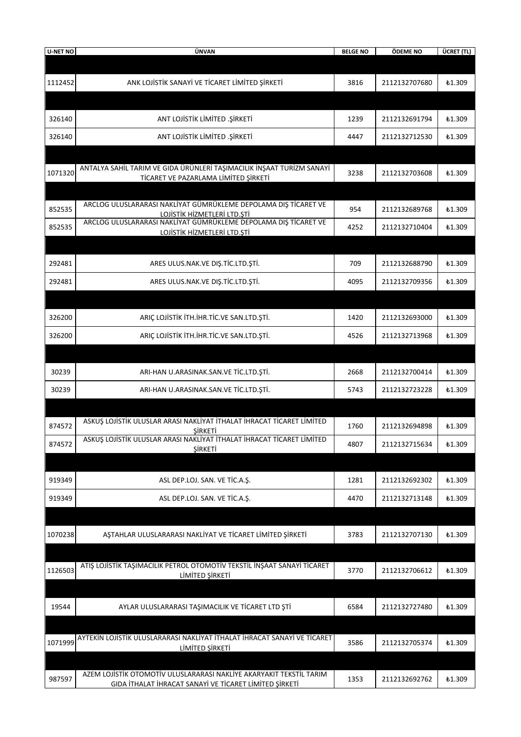| <b>U-NET NO</b> | ÜNVAN                                                                                                                         | <b>BELGE NO</b> | ÖDEME NO      | ÜCRET (TL)    |
|-----------------|-------------------------------------------------------------------------------------------------------------------------------|-----------------|---------------|---------------|
|                 |                                                                                                                               |                 |               |               |
| 1112452         | ANK LOJİSTİK SANAYİ VE TİCARET LİMİTED ŞİRKETİ                                                                                | 3816            | 2112132707680 | <b>£1.309</b> |
|                 |                                                                                                                               |                 |               |               |
| 326140          | ANT LOJİSTİK LİMİTED .ŞİRKETİ                                                                                                 | 1239            | 2112132691794 | <b>£1.309</b> |
| 326140          | ANT LOJİSTİK LİMİTED .ŞİRKETİ                                                                                                 | 4447            | 2112132712530 | <b>£1.309</b> |
|                 |                                                                                                                               |                 |               |               |
| 1071320         | ANTALYA SAHİL TARIM VE GIDA ÜRÜNLERİ TAŞIMACILIK İNŞAAT TURİZM SANAYİ<br>TİCARET VE PAZARLAMA LİMİTED ŞİRKETİ                 | 3238            | 2112132703608 | £1.309        |
|                 |                                                                                                                               |                 |               |               |
| 852535          | ARCLOG ULUSLARARASI NAKLİYAT GÜMRÜKLEME DEPOLAMA DIŞ TİCARET VE<br>LOJİSTİK HİZMETLERİ LTD.ŞTİ                                | 954             | 2112132689768 | <b>£1.309</b> |
| 852535          | ARCLOG ULUSLARARASI NAKLİYAT GÜMRÜKLEME DEPOLAMA DIŞ TİCARET VE<br>LOJİSTİK HİZMETLERİ LTD.ŞTİ                                | 4252            | 2112132710404 | £1.309        |
|                 |                                                                                                                               |                 |               |               |
| 292481          | ARES ULUS.NAK.VE DIŞ.TİC.LTD.ŞTİ.                                                                                             | 709             | 2112132688790 | <b>£1.309</b> |
| 292481          | ARES ULUS.NAK.VE DIŞ.TİC.LTD.ŞTİ.                                                                                             | 4095            | 2112132709356 | <b>£1.309</b> |
|                 |                                                                                                                               |                 |               |               |
| 326200          | ARIÇ LOJİSTİK İTH.İHR.TİC.VE SAN.LTD.ŞTİ.                                                                                     | 1420            | 2112132693000 | <b>£1.309</b> |
| 326200          | ARIÇ LOJİSTİK İTH.İHR.TİC.VE SAN.LTD.ŞTİ.                                                                                     | 4526            | 2112132713968 | <b>£1.309</b> |
|                 |                                                                                                                               |                 |               |               |
| 30239           | ARI-HAN U.ARASINAK.SAN.VE TİC.LTD.ŞTİ.                                                                                        | 2668            | 2112132700414 | <b>£1.309</b> |
| 30239           | ARI-HAN U.ARASINAK.SAN.VE TİC.LTD.ŞTİ.                                                                                        | 5743            | 2112132723228 | £1.309        |
|                 |                                                                                                                               |                 |               |               |
| 874572          | ASKUŞ LOJİSTİK ULUSLAR ARASI NAKLİYAT İTHALAT İHRACAT TİCARET LİMİTED<br>ŞİRKETİ                                              | 1760            | 2112132694898 | <b>£1.309</b> |
| 874572          | ASKUŞ LOJİSTİK ULUSLAR ARASI NAKLIYAT İTHALAT İHRACAT TİCARET LİMİTED<br><b>ŞİRKETİ</b>                                       | 4807            | 2112132715634 | ₺1.309        |
|                 |                                                                                                                               |                 |               |               |
| 919349          | ASL DEP.LOJ. SAN. VE TİC.A.Ş.                                                                                                 | 1281            | 2112132692302 | ₺1.309        |
| 919349          | ASL DEP.LOJ. SAN. VE TİC.A.Ş.                                                                                                 | 4470            | 2112132713148 | <b>£1.309</b> |
|                 |                                                                                                                               |                 |               |               |
| 1070238         | AŞTAHLAR ULUSLARARASI NAKLİYAT VE TİCARET LİMİTED ŞİRKETİ                                                                     | 3783            | 2112132707130 | <b>£1.309</b> |
|                 |                                                                                                                               |                 |               |               |
| 1126503         | ATIŞ LOJİSTİK TAŞIMACILIK PETROL OTOMOTİV TEKSTİL İNŞAAT SANAYİ TİCARET<br>LİMİTED ŞİRKETİ                                    | 3770            | 2112132706612 | ₺1.309        |
|                 |                                                                                                                               |                 |               |               |
| 19544           | AYLAR ULUSLARARASI TAŞIMACILIK VE TİCARET LTD ŞTİ                                                                             | 6584            | 2112132727480 | £1.309        |
|                 |                                                                                                                               |                 |               |               |
| 1071999         | AYTEKİN LOJİSTİK ULUSLARARASI NAKLİYAT İTHALAT İHRACAT SANAYİ VE TİCARET<br>LİMİTED ŞİRKETİ                                   | 3586            | 2112132705374 | <b>£1.309</b> |
|                 |                                                                                                                               |                 |               |               |
| 987597          | AZEM LOJİSTİK OTOMOTİV ULUSLARARASI NAKLİYE AKARYAKIT TEKSTİL TARIM<br>GIDA İTHALAT İHRACAT SANAYİ VE TİCARET LİMİTED ŞİRKETİ | 1353            | 2112132692762 | <b>£1.309</b> |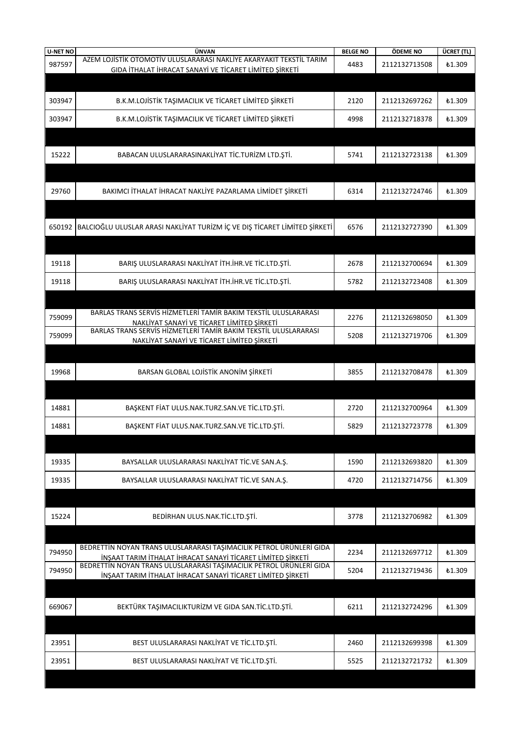| <b>U-NET NO</b> | ÜNVAN                                                                                                                              | <b>BELGE NO</b> | ÖDEME NO      | ÜCRET (TL)    |
|-----------------|------------------------------------------------------------------------------------------------------------------------------------|-----------------|---------------|---------------|
| 987597          | AZEM LOJİSTİK OTOMOTİV ULUSLARARASI NAKLİYE AKARYAKIT TEKSTİL TARIM                                                                | 4483            | 2112132713508 | <b>£1.309</b> |
|                 | GIDA İTHALAT İHRACAT SANAYİ VE TİCARET LİMİTED ŞİRKETİ                                                                             |                 |               |               |
|                 |                                                                                                                                    |                 |               |               |
| 303947          | B.K.M.LOJİSTİK TAŞIMACILIK VE TİCARET LİMİTED ŞİRKETİ                                                                              | 2120            | 2112132697262 | £1.309        |
|                 | B.K.M.LOJİSTİK TAŞIMACILIK VE TİCARET LİMİTED ŞİRKETİ                                                                              |                 |               |               |
| 303947          |                                                                                                                                    | 4998            | 2112132718378 | £1.309        |
|                 |                                                                                                                                    |                 |               |               |
| 15222           | BABACAN ULUSLARARASINAKLİYAT TİC.TURİZM LTD.ŞTİ.                                                                                   | 5741            | 2112132723138 | £1.309        |
|                 |                                                                                                                                    |                 |               |               |
|                 |                                                                                                                                    |                 |               |               |
| 29760           | BAKIMCI İTHALAT İHRACAT NAKLİYE PAZARLAMA LİMİDET ŞİRKETİ                                                                          | 6314            | 2112132724746 | <b>£1.309</b> |
|                 |                                                                                                                                    |                 |               |               |
|                 |                                                                                                                                    |                 |               |               |
| 650192          | BALCIOĞLU ULUSLAR ARASI NAKLIYAT TURIZM IÇ VE DIŞ TICARET LIMITED ŞIRKETI                                                          | 6576            | 2112132727390 | <b>£1.309</b> |
|                 |                                                                                                                                    |                 |               |               |
|                 |                                                                                                                                    |                 |               |               |
| 19118           | BARIŞ ULUSLARARASI NAKLİYAT İTH.İHR.VE TİC.LTD.ŞTİ.                                                                                | 2678            | 2112132700694 | £1.309        |
|                 |                                                                                                                                    |                 |               |               |
| 19118           | BARIŞ ULUSLARARASI NAKLİYAT İTH.İHR.VE TİC.LTD.ŞTİ.                                                                                | 5782            | 2112132723408 | £1.309        |
|                 |                                                                                                                                    |                 |               |               |
| 759099          | BARLAS TRANS SERVIS HIZMETLERI TAMIR BAKIM TEKSTIL ULUSLARARASI                                                                    | 2276            | 2112132698050 | <b>£1.309</b> |
|                 | NAKLIYAT SANAYI VE TICARET LIMITED ŞIRKETI<br>BARLAS TRANS SERVIS HIZMETLERI TAMIR BAKIM TEKSTIL ULUSLARARASI                      |                 |               |               |
| 759099          | NAKLİYAT SANAYİ VE TİCARET LİMİTED ŞİRKETİ                                                                                         | 5208            | 2112132719706 | £1.309        |
|                 |                                                                                                                                    |                 |               |               |
|                 |                                                                                                                                    |                 |               |               |
| 19968           | BARSAN GLOBAL LOJİSTİK ANONİM ŞİRKETİ                                                                                              | 3855            | 2112132708478 | £1.309        |
|                 |                                                                                                                                    |                 |               |               |
|                 |                                                                                                                                    |                 |               |               |
| 14881           | BAŞKENT FİAT ULUS.NAK.TURZ.SAN.VE TİC.LTD.ŞTİ.                                                                                     | 2720            | 2112132700964 | <b>£1.309</b> |
| 14881           | BAŞKENT FİAT ULUS.NAK.TURZ.SAN.VE TİC.LTD.ŞTİ.                                                                                     | 5829            | 2112132723778 | £1.309        |
|                 |                                                                                                                                    |                 |               |               |
|                 |                                                                                                                                    |                 |               |               |
| 19335           | BAYSALLAR ULUSLARARASI NAKLİYAT TİC.VE SAN.A.Ş.                                                                                    | 1590            | 2112132693820 | £1.309        |
| 19335           | BAYSALLAR ULUSLARARASI NAKLİYAT TİC.VE SAN.A.Ş.                                                                                    | 4720            | 2112132714756 | £1.309        |
|                 |                                                                                                                                    |                 |               |               |
|                 |                                                                                                                                    |                 |               |               |
| 15224           | BEDİRHAN ULUS.NAK.TİC.LTD.ŞTİ.                                                                                                     | 3778            | 2112132706982 | <b>£1.309</b> |
|                 |                                                                                                                                    |                 |               |               |
|                 |                                                                                                                                    |                 |               |               |
| 794950          | BEDRETTİN NOYAN TRANS ULUSLARARASI TAŞIMACILIK PETROL ÜRÜNLERİ GIDA<br>İNŞAAT TARIM İTHALAT İHRACAT SANAYİ TİCARET LİMİTED ŞİRKETİ | 2234            | 2112132697712 | <b>£1.309</b> |
| 794950          | BEDRETTİN NOYAN TRANS ULUSLARARASI TAŞIMACILIK PETROL ÜRÜNLERİ GIDA                                                                | 5204            | 2112132719436 | £1.309        |
|                 | İNŞAAT TARIM İTHALAT İHRACAT SANAYİ TİCARET LİMİTED ŞİRKETİ                                                                        |                 |               |               |
|                 |                                                                                                                                    |                 |               |               |
| 669067          | BEKTÜRK TAŞIMACILIKTURİZM VE GIDA SAN.TİC.LTD.ŞTİ.                                                                                 | 6211            | 2112132724296 | £1.309        |
|                 |                                                                                                                                    |                 |               |               |
|                 |                                                                                                                                    |                 |               |               |
| 23951           | BEST ULUSLARARASI NAKLİYAT VE TİC.LTD.ŞTİ.                                                                                         | 2460            | 2112132699398 | <b>£1.309</b> |
|                 |                                                                                                                                    |                 |               |               |
| 23951           | BEST ULUSLARARASI NAKLIYAT VE TIC.LTD. STI.                                                                                        | 5525            | 2112132721732 | <b>£1.309</b> |
|                 |                                                                                                                                    |                 |               |               |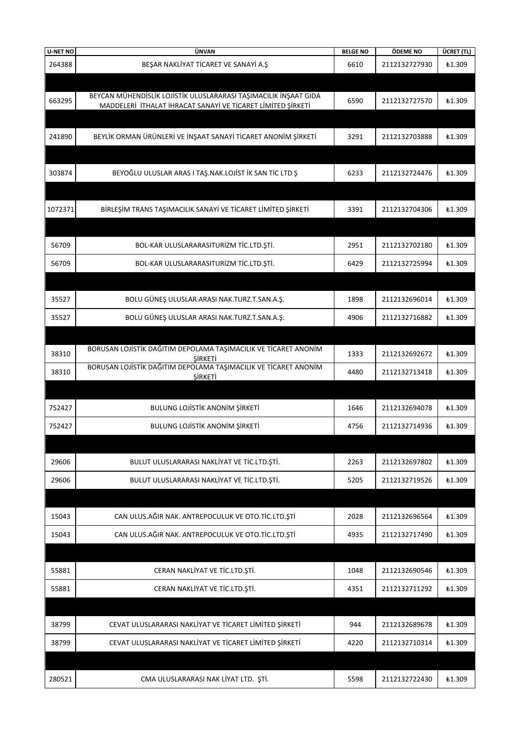| <b>U-NET NO</b> | ÜNVAN                                                                      | <b>BELGE NO</b> | ÖDEME NO      | ÜCRET (TL)    |
|-----------------|----------------------------------------------------------------------------|-----------------|---------------|---------------|
| 264388          | BEŞAR NAKLİYAT TİCARET VE SANAYİ A.Ş                                       | 6610            | 2112132727930 | £1.309        |
|                 |                                                                            |                 |               |               |
|                 | BEYCAN MÜHENDİSLİK LOJİSTİK ULUSLARARASI TAŞIMACILIK İNŞAAT GIDA           |                 |               |               |
| 663295          | MADDELERİ İTHALAT İHRACAT SANAYİ VE TİCARET LİMİTED ŞİRKETİ                | 6590            | 2112132727570 | <b>£1.309</b> |
|                 |                                                                            |                 |               |               |
| 241890          | BEYLİK ORMAN ÜRÜNLERİ VE İNŞAAT SANAYİ TİCARET ANONİM ŞİRKETİ              | 3291            | 2112132703888 | ₺1.309        |
|                 |                                                                            |                 |               |               |
|                 |                                                                            |                 |               |               |
| 303874          | BEYOĞLU ULUSLAR ARAS I TAŞ.NAK.LOJİST İK SAN TİC LTD Ş                     | 6233            | 2112132724476 | £1.309        |
|                 |                                                                            |                 |               |               |
| 1072371         | BİRLEŞİM TRANS TAŞIMACILIK SANAYİ VE TİCARET LİMİTED ŞİRKETİ               | 3391            | 2112132704306 | ₺1.309        |
|                 |                                                                            |                 |               |               |
|                 |                                                                            |                 |               |               |
| 56709           | BOL-KAR ULUSLARARASITURİZM TİC.LTD.ŞTİ.                                    | 2951            | 2112132702180 | ₺1.309        |
| 56709           | BOL-KAR ULUSLARARASITURİZM TİC.LTD.ŞTİ.                                    | 6429            | 2112132725994 | <b>£1.309</b> |
|                 |                                                                            |                 |               |               |
| 35527           | BOLU GÜNEŞ ULUSLAR ARASI NAK.TURZ.T.SAN.A.Ş.                               | 1898            | 2112132696014 | ₺1.309        |
| 35527           | BOLU GÜNEŞ ULUSLAR ARASI NAK.TURZ.T.SAN.A.Ş.                               | 4906            | 2112132716882 | <b>£1.309</b> |
|                 |                                                                            |                 |               |               |
|                 | BORUSAN LOJİSTİK DAĞITIM DEPOLAMA TAŞIMACILIK VE TİCARET ANONİM            |                 |               |               |
| 38310           | ŞİRKETİ                                                                    | 1333            | 2112132692672 | ₺1.309        |
| 38310           | BORUSAN LOJİSTİK DAĞITIM DEPOLAMA TAŞIMACILIK VE TİCARET ANONİM<br>ŞİRKETİ | 4480            | 2112132713418 | £1.309        |
|                 |                                                                            |                 |               |               |
| 752427          | BULUNG LOJİSTİK ANONİM ŞİRKETİ                                             | 1646            | 2112132694078 | £1.309        |
|                 |                                                                            |                 |               |               |
| 752427          | <b>BULUNG LOJİSTİK ANONİM ŞİRKETİ</b>                                      | 4756            | 2112132714936 | £1.309        |
|                 |                                                                            |                 |               |               |
| 29606           | BULUT ULUSLARARASI NAKLİYAT VE TİC.LTD.ŞTİ.                                | 2263            | 2112132697802 | £1.309        |
| 29606           | BULUT ULUSLARARASI NAKLIYAT VE TIC.LTD.ŞTİ.                                | 5205            | 2112132719526 | <b>£1.309</b> |
|                 |                                                                            |                 |               |               |
|                 |                                                                            |                 |               |               |
| 15043           | CAN ULUS.AĞIR NAK. ANTREPOCULUK VE OTO.TİC.LTD.ŞTİ                         | 2028            | 2112132696564 | ₺1.309        |
| 15043           | CAN ULUS.AĞIR NAK. ANTREPOCULUK VE OTO.TİC.LTD.ŞTİ                         | 4935            | 2112132717490 | <b>£1.309</b> |
|                 |                                                                            |                 |               |               |
| 55881           | CERAN NAKLİYAT VE TİC.LTD.ŞTİ.                                             | 1048            | 2112132690546 | £1.309        |
| 55881           | CERAN NAKLİYAT VE TİC.LTD.ŞTİ.                                             | 4351            | 2112132711292 | £1.309        |
|                 |                                                                            |                 |               |               |
|                 |                                                                            |                 |               |               |
| 38799           | CEVAT ULUSLARARASI NAKLİYAT VE TİCARET LİMİTED ŞİRKETİ                     | 944             | 2112132689678 | ₺1.309        |
| 38799           | CEVAT ULUSLARARASI NAKLİYAT VE TİCARET LİMİTED ŞİRKETİ                     | 4220            | 2112132710314 | £1.309        |
|                 |                                                                            |                 |               |               |
| 280521          | CMA ULUSLARARASI NAK LİYAT LTD. ŞTİ.                                       | 5598            | 2112132722430 | <b>£1.309</b> |
|                 |                                                                            |                 |               |               |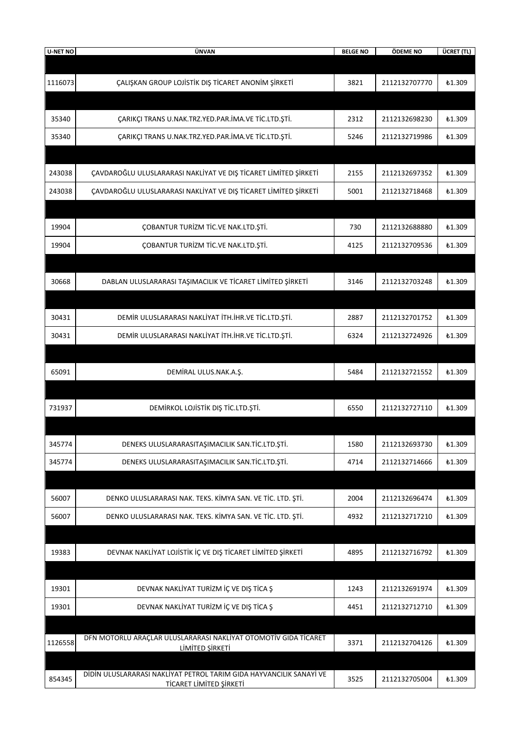| <b>U-NET NO</b> | ÜNVAN                                                                                          | <b>BELGE NO</b> | ÖDEME NO      | ÜCRET (TL)    |
|-----------------|------------------------------------------------------------------------------------------------|-----------------|---------------|---------------|
|                 |                                                                                                |                 |               |               |
| 1116073         | ÇALIŞKAN GROUP LOJİSTİK DIŞ TİCARET ANONİM ŞİRKETİ                                             | 3821            | 2112132707770 | <b>£1.309</b> |
|                 |                                                                                                |                 |               |               |
| 35340           | ÇARIKÇI TRANS U.NAK.TRZ.YED.PAR.İMA.VE TİC.LTD.ŞTİ.                                            | 2312            | 2112132698230 | <b>£1.309</b> |
| 35340           | ÇARIKÇI TRANS U.NAK.TRZ.YED.PAR.İMA.VE TİC.LTD.ŞTİ.                                            | 5246            | 2112132719986 | <b>£1.309</b> |
|                 |                                                                                                |                 |               |               |
| 243038          | ÇAVDAROĞLU ULUSLARARASI NAKLIYAT VE DIŞ TİCARET LİMİTED ŞİRKETİ                                | 2155            | 2112132697352 | <b>£1.309</b> |
| 243038          | ÇAVDAROĞLU ULUSLARARASI NAKLIYAT VE DIŞ TİCARET LİMİTED ŞİRKETİ                                | 5001            | 2112132718468 | <b>£1.309</b> |
|                 |                                                                                                |                 |               |               |
| 19904           | ÇOBANTUR TURİZM TİC.VE NAK.LTD.ŞTİ.                                                            | 730             | 2112132688880 | <b>£1.309</b> |
| 19904           | ÇOBANTUR TURİZM TİC.VE NAK.LTD.ŞTİ.                                                            | 4125            | 2112132709536 | £1.309        |
|                 |                                                                                                |                 |               |               |
| 30668           | DABLAN ULUSLARARASI TAŞIMACILIK VE TİCARET LİMİTED ŞİRKETİ                                     | 3146            | 2112132703248 | £1.309        |
|                 |                                                                                                |                 |               |               |
| 30431           | DEMİR ULUSLARARASI NAKLİYAT İTH.İHR.VE TİC.LTD.ŞTİ.                                            | 2887            | 2112132701752 | <b>£1.309</b> |
| 30431           | DEMİR ULUSLARARASI NAKLİYAT İTH.İHR.VE TİC.LTD.ŞTİ.                                            | 6324            | 2112132724926 | <b>£1.309</b> |
|                 |                                                                                                |                 |               |               |
| 65091           | DEMİRAL ULUS.NAK.A.Ş.                                                                          | 5484            | 2112132721552 | £1.309        |
|                 |                                                                                                |                 |               |               |
| 731937          | DEMIRKOL LOJISTIK DIŞ TİC.LTD.ŞTİ.                                                             | 6550            | 2112132727110 | <b>£1.309</b> |
|                 |                                                                                                |                 |               |               |
| 345774          | DENEKS ULUSLARARASITAŞIMACILIK SAN.TİC.LTD.ŞTİ.                                                | 1580            | 2112132693730 | <b>£1.309</b> |
| 345774          | DENEKS ULUSLARARASITAŞIMACILIK SAN.TİC.LTD.ŞTİ.                                                | 4714            | 2112132714666 | <b>£1.309</b> |
|                 |                                                                                                |                 |               |               |
| 56007           | DENKO ULUSLARARASI NAK. TEKS. KİMYA SAN. VE TİC. LTD. ŞTİ.                                     | 2004            | 2112132696474 | <b>£1.309</b> |
| 56007           | DENKO ULUSLARARASI NAK. TEKS. KİMYA SAN. VE TİC. LTD. ŞTİ.                                     | 4932            | 2112132717210 | <b>£1.309</b> |
|                 |                                                                                                |                 |               |               |
| 19383           | DEVNAK NAKLİYAT LOJİSTİK İÇ VE DIŞ TİCARET LİMİTED ŞİRKETİ                                     | 4895            | 2112132716792 | <b>£1.309</b> |
|                 |                                                                                                |                 |               |               |
| 19301           | DEVNAK NAKLİYAT TURİZM İÇ VE DIŞ TİCA Ş                                                        | 1243            | 2112132691974 | ₺1.309        |
| 19301           | DEVNAK NAKLİYAT TURİZM İÇ VE DIŞ TİCA Ş                                                        | 4451            | 2112132712710 | <b>£1.309</b> |
|                 |                                                                                                |                 |               |               |
| 1126558         | DFN MOTORLU ARAÇLAR ULUSLARARASI NAKLİYAT OTOMOTİV GIDA TİCARET<br>LIMITED ŞİRKETİ             | 3371            | 2112132704126 | <b>£1.309</b> |
|                 |                                                                                                |                 |               |               |
| 854345          | DİDİN ULUSLARARASI NAKLİYAT PETROL TARIM GIDA HAYVANCILIK SANAYİ VE<br>TİCARET LİMİTED ŞİRKETİ | 3525            | 2112132705004 | <b>£1.309</b> |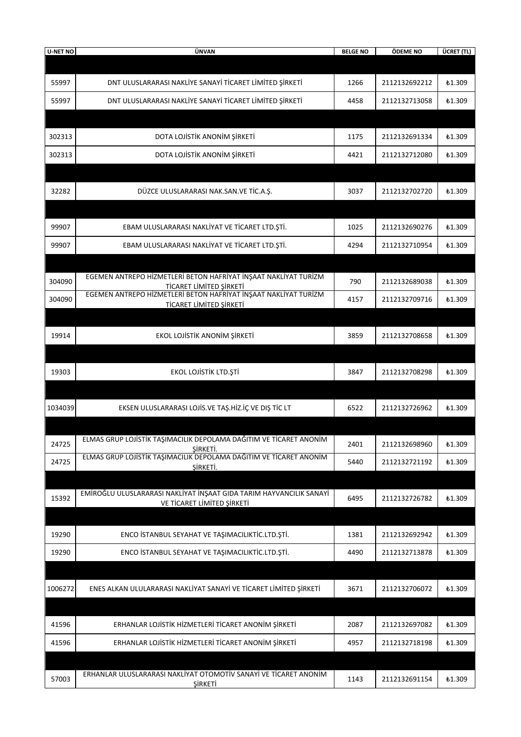| <b>U-NET NO</b> | ÜNVAN                                                                                                                                                | <b>BELGE NO</b> | ÖDEME NO      | ÜCRET (TL)    |
|-----------------|------------------------------------------------------------------------------------------------------------------------------------------------------|-----------------|---------------|---------------|
|                 |                                                                                                                                                      |                 |               |               |
| 55997           | DNT ULUSLARARASI NAKLIYE SANAYI TICARET LIMITED ŞIRKETI                                                                                              | 1266            | 2112132692212 | £1.309        |
| 55997           | DNT ULUSLARARASI NAKLIYE SANAYI TICARET LIMITED ŞIRKETI                                                                                              | 4458            | 2112132713058 | £1.309        |
|                 |                                                                                                                                                      |                 |               |               |
| 302313          | DOTA LOJİSTİK ANONİM ŞİRKETİ                                                                                                                         | 1175            | 2112132691334 | £1.309        |
| 302313          | DOTA LOJİSTİK ANONİM ŞİRKETİ                                                                                                                         | 4421            | 2112132712080 | £1.309        |
|                 |                                                                                                                                                      |                 |               |               |
| 32282           | DÜZCE ULUSLARARASI NAK.SAN.VE TİC.A.Ş.                                                                                                               | 3037            | 2112132702720 | £1.309        |
|                 |                                                                                                                                                      |                 |               |               |
| 99907           | EBAM ULUSLARARASI NAKLİYAT VE TİCARET LTD.ŞTİ.                                                                                                       | 1025            | 2112132690276 | £1.309        |
| 99907           | EBAM ULUSLARARASI NAKLİYAT VE TİCARET LTD.ŞTİ.                                                                                                       | 4294            | 2112132710954 | £1.309        |
|                 |                                                                                                                                                      |                 |               |               |
| 304090          | EGEMEN ANTREPO HİZMETLERİ BETON HAFRİYAT İNŞAAT NAKLİYAT TURİZM<br>TİCARET LİMİTED ŞİRKETİ                                                           | 790             | 2112132689038 | £1.309        |
| 304090          | EGEMEN ANTREPO HİZMETLERİ BETON HAFRİYAT İNŞAAT NAKLİYAT TURİZM<br>TİCARET LİMİTED ŞİRKETİ                                                           | 4157            | 2112132709716 | £1.309        |
|                 |                                                                                                                                                      |                 |               |               |
| 19914           | EKOL LOJİSTİK ANONİM ŞİRKETİ                                                                                                                         | 3859            | 2112132708658 | £1.309        |
|                 |                                                                                                                                                      |                 |               |               |
| 19303           | EKOL LOJİSTİK LTD.ŞTİ                                                                                                                                | 3847            | 2112132708298 | £1.309        |
|                 |                                                                                                                                                      |                 |               |               |
| 1034039         | EKSEN ULUSLARARASI LOJİS.VE TAŞ.HİZ.İÇ VE DIŞ TİC LT                                                                                                 | 6522            | 2112132726962 | £1.309        |
|                 |                                                                                                                                                      |                 |               |               |
| 24725           | ELMAS GRUP LOJISTIK TAŞIMACILIK DEPOLAMA DAGITIM VE TICARET ANONIM<br>ŞİRKETİ.<br>ELMAS GRUP LOJİSTİK TAŞIMACILIK DEPOLAMA DAĞITIM VE TİCARET ANONİM | 2401            | 2112132698960 | <b>£1.309</b> |
| 24725           | ŞİRKETİ.                                                                                                                                             | 5440            | 2112132721192 | £1.309        |
|                 | EMİROĞLU ULUSLARARASI NAKLİYAT İNŞAAT GIDA TARIM HAYVANCILIK SANAYİ                                                                                  |                 |               |               |
| 15392           | VE TİCARET LİMİTED ŞİRKETİ                                                                                                                           | 6495            | 2112132726782 | <b>£1.309</b> |
|                 |                                                                                                                                                      |                 |               |               |
| 19290           | ENCO İSTANBUL SEYAHAT VE TAŞIMACILIKTİC.LTD.ŞTİ.                                                                                                     | 1381            | 2112132692942 | <b>£1.309</b> |
| 19290           | ENCO İSTANBUL SEYAHAT VE TAŞIMACILIKTİC.LTD.ŞTİ.                                                                                                     | 4490            | 2112132713878 | ₺1.309        |
|                 |                                                                                                                                                      |                 |               |               |
| 1006272         | ENES ALKAN ULULARARASI NAKLIYAT SANAYI VE TICARET LIMITED ŞIRKETI                                                                                    | 3671            | 2112132706072 | ₺1.309        |
|                 |                                                                                                                                                      |                 |               |               |
| 41596           | ERHANLAR LOJİSTİK HİZMETLERİ TİCARET ANONİM ŞİRKETİ                                                                                                  | 2087            | 2112132697082 | <b>£1.309</b> |
| 41596           | ERHANLAR LOJİSTİK HİZMETLERİ TİCARET ANONİM ŞİRKETİ                                                                                                  | 4957            | 2112132718198 | ₺1.309        |
|                 | ERHANLAR ULUSLARARASI NAKLIYAT OTOMOTIV SANAYI VE TICARET ANONIM                                                                                     |                 |               |               |
| 57003           | <b>ŞİRKETİ</b>                                                                                                                                       | 1143            | 2112132691154 | <b>£1.309</b> |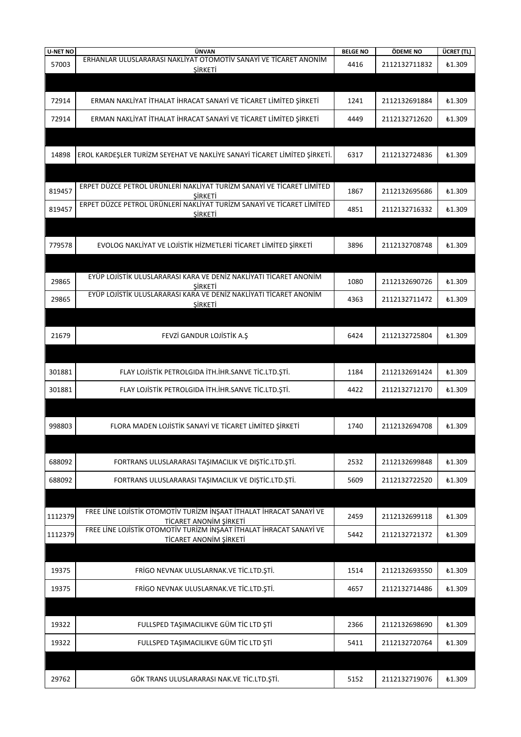| <b>U-NET NO</b> | ÜNVAN                                                                                         | <b>BELGE NO</b> | ÖDEME NO      | ÜCRET (TL)    |
|-----------------|-----------------------------------------------------------------------------------------------|-----------------|---------------|---------------|
| 57003           | ERHANLAR ULUSLARARASI NAKLIYAT OTOMOTIV SANAYI VE TICARET ANONIM<br>ŞİRKETİ                   | 4416            | 2112132711832 | <b>£1.309</b> |
|                 |                                                                                               |                 |               |               |
|                 |                                                                                               |                 |               |               |
| 72914           | ERMAN NAKLİYAT İTHALAT İHRACAT SANAYİ VE TİCARET LİMİTED ŞİRKETİ                              | 1241            | 2112132691884 | <b>£1.309</b> |
| 72914           | ERMAN NAKLİYAT İTHALAT İHRACAT SANAYİ VE TİCARET LİMİTED ŞİRKETİ                              | 4449            | 2112132712620 | <b>£1.309</b> |
|                 |                                                                                               |                 |               |               |
|                 |                                                                                               |                 |               |               |
| 14898           | EROL KARDEŞLER TURİZM SEYEHAT VE NAKLİYE SANAYİ TİCARET LİMİTED ŞİRKETİ.                      | 6317            | 2112132724836 | <b>£1.309</b> |
|                 |                                                                                               |                 |               |               |
| 819457          | ERPET DÜZCE PETROL ÜRÜNLERİ NAKLİYAT TURİZM SANAYİ VE TİCARET LİMİTED                         | 1867            | 2112132695686 | ₺1.309        |
|                 | SIRKETI<br>ERPET DÜZCE PETROL ÜRÜNLERİ NAKLIYAT TURİZM SANAYİ VE TİCARET LİMİTED              |                 |               |               |
| 819457          | ŞİRKETİ                                                                                       | 4851            | 2112132716332 | <b>£1.309</b> |
|                 |                                                                                               |                 |               |               |
| 779578          | EVOLOG NAKLIYAT VE LOJISTIK HIZMETLERI TICARET LIMITED ŞIRKETI                                | 3896            | 2112132708748 | £1.309        |
|                 |                                                                                               |                 |               |               |
|                 | EYÜP LOJİSTİK ULUSLARARASI KARA VE DENİZ NAKLİYATI TİCARET ANONİM                             |                 |               |               |
| 29865           | SIRKETI                                                                                       | 1080            | 2112132690726 | ₺1.309        |
| 29865           | EYÜP LOJİSTİK ULUSLARARASI KARA VE DENİZ NAKLİYATI TİCARET ANONİM<br>ŞİRKETİ                  | 4363            | 2112132711472 | £1.309        |
|                 |                                                                                               |                 |               |               |
|                 |                                                                                               |                 |               |               |
| 21679           | FEVZİ GANDUR LOJİSTİK A.Ş                                                                     | 6424            | 2112132725804 | <b>£1.309</b> |
|                 |                                                                                               |                 |               |               |
| 301881          | FLAY LOJİSTİK PETROLGIDA İTH.İHR.SANVE TİC.LTD.ŞTİ.                                           | 1184            | 2112132691424 | <b>£1.309</b> |
| 301881          | FLAY LOJİSTİK PETROLGIDA İTH.İHR.SANVE TİC.LTD.ŞTİ.                                           | 4422            | 2112132712170 | <b>£1.309</b> |
|                 |                                                                                               |                 |               |               |
|                 |                                                                                               |                 |               |               |
| 998803          | FLORA MADEN LOJİSTİK SANAYİ VE TİCARET LİMİTED ŞİRKETİ                                        | 1740            | 2112132694708 | <b>£1.309</b> |
|                 |                                                                                               |                 |               |               |
| 688092          | FORTRANS ULUSLARARASI TAŞIMACILIK VE DIŞTİC.LTD.ŞTİ.                                          | 2532            | 2112132699848 | £1.309        |
|                 |                                                                                               |                 |               |               |
| 688092          | FORTRANS ULUSLARARASI TAŞIMACILIK VE DIŞTİC.LTD.ŞTİ.                                          | 5609            | 2112132722520 | £1.309        |
|                 |                                                                                               |                 |               |               |
| 1112379         | FREE LINE LOJISTIK OTOMOTIV TURIZM INŞAAT İTHALAT İHRACAT SANAYİ VE<br>TİCARET ANONİM ŞİRKETİ | 2459            | 2112132699118 | <b>£1.309</b> |
| 1112379         | FREE LINE LOJISTIK OTOMOTIV TURIZM INŞAAT İTHALAT İHRACAT SANAYİ VE                           | 5442            | 2112132721372 | £1.309        |
|                 | TİCARET ANONİM ŞİRKETİ                                                                        |                 |               |               |
|                 |                                                                                               |                 |               |               |
| 19375           | FRİGO NEVNAK ULUSLARNAK.VE TİC.LTD.ŞTİ.                                                       | 1514            | 2112132693550 | £1.309        |
| 19375           | FRİGO NEVNAK ULUSLARNAK.VE TİC.LTD.ŞTİ.                                                       | 4657            | 2112132714486 | <b>£1.309</b> |
|                 |                                                                                               |                 |               |               |
|                 |                                                                                               |                 |               |               |
| 19322           | FULLSPED TAŞIMACILIKVE GÜM TİC LTD ŞTİ                                                        | 2366            | 2112132698690 | <b>£1.309</b> |
| 19322           | FULLSPED TAŞIMACILIKVE GÜM TİC LTD ŞTİ                                                        | 5411            | 2112132720764 | £1.309        |
|                 |                                                                                               |                 |               |               |
| 29762           | GÖK TRANS ULUSLARARASI NAK.VE TİC.LTD.ŞTİ.                                                    | 5152            | 2112132719076 | £1.309        |
|                 |                                                                                               |                 |               |               |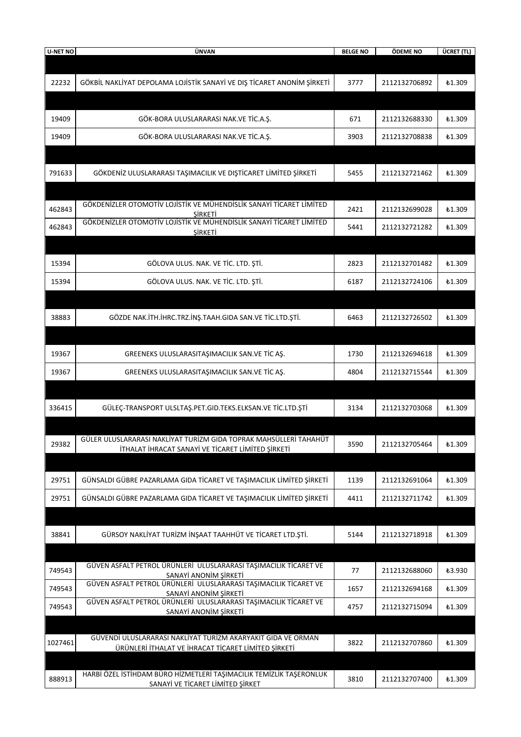| <b>U-NET NO</b> | ÜNVAN                                                                                                   | <b>BELGE NO</b> | ÖDEME NO      | ÜCRET (TL)    |
|-----------------|---------------------------------------------------------------------------------------------------------|-----------------|---------------|---------------|
|                 |                                                                                                         |                 |               |               |
| 22232           | GÖKBİL NAKLİYAT DEPOLAMA LOJİSTİK SANAYİ VE DIŞ TİCARET ANONİM ŞİRKETİ                                  | 3777            | 2112132706892 | <b>£1.309</b> |
|                 |                                                                                                         |                 |               |               |
|                 |                                                                                                         |                 |               |               |
| 19409           | GÖK-BORA ULUSLARARASI NAK.VE TİC.A.Ş.                                                                   | 671             | 2112132688330 | <b>£1.309</b> |
| 19409           | GÖK-BORA ULUSLARARASI NAK.VE TİC.A.S.                                                                   | 3903            | 2112132708838 | £1.309        |
|                 |                                                                                                         |                 |               |               |
|                 |                                                                                                         |                 |               |               |
| 791633          | GÖKDENİZ ULUSLARARASI TAŞIMACILIK VE DIŞTİCARET LİMİTED ŞİRKETİ                                         | 5455            | 2112132721462 | £1.309        |
|                 |                                                                                                         |                 |               |               |
| 462843          | GÖKDENIZLER OTOMOTIV LOJISTIK VE MÜHENDISLIK SANAYI TICARET LIMITED                                     | 2421            | 2112132699028 | £1.309        |
|                 | <b>SIRKETI</b><br>GÖKDENIZLER OTOMOTIV LOJISTIK VE MÜHENDISLIK SANAYI TICARET LIMITED                   |                 |               |               |
| 462843          | SIRKETI                                                                                                 | 5441            | 2112132721282 | £1.309        |
|                 |                                                                                                         |                 |               |               |
| 15394           | GÖLOVA ULUS. NAK. VE TİC. LTD. ŞTİ.                                                                     | 2823            | 2112132701482 | £1.309        |
| 15394           | GÖLOVA ULUS. NAK. VE TİC. LTD. ŞTİ.                                                                     | 6187            | 2112132724106 | £1.309        |
|                 |                                                                                                         |                 |               |               |
|                 |                                                                                                         |                 |               |               |
| 38883           | GÖZDE NAK.İTH.İHRC.TRZ.İNŞ.TAAH.GIDA SAN.VE TİC.LTD.ŞTİ.                                                | 6463            | 2112132726502 | <b>£1.309</b> |
|                 |                                                                                                         |                 |               |               |
| 19367           | GREENEKS ULUSLARASITAŞIMACILIK SAN.VE TİC AŞ.                                                           | 1730            | 2112132694618 | <b>£1.309</b> |
|                 |                                                                                                         |                 |               |               |
| 19367           | GREENEKS ULUSLARASITAŞIMACILIK SAN.VE TİC AŞ.                                                           | 4804            | 2112132715544 | £1.309        |
|                 |                                                                                                         |                 |               |               |
| 336415          | GÜLEÇ-TRANSPORT ULSLTAŞ.PET.GID.TEKS.ELKSAN.VE TİC.LTD.ŞTİ                                              | 3134            | 2112132703068 | £1.309        |
|                 |                                                                                                         |                 |               |               |
|                 | GÜLER ULUSLARARASI NAKLİYAT TURİZM GIDA TOPRAK MAHSÜLLERİ TAHAHÜT                                       |                 | 2112132705464 |               |
| 29382           | İTHALAT İHRACAT SANAYİ VE TİCARET LİMİTED ŞİRKETİ                                                       | 3590            |               | <b>£1.309</b> |
|                 |                                                                                                         |                 |               |               |
| 29751           | GÜNSALDI GÜBRE PAZARLAMA GIDA TİCARET VE TAŞIMACILIK LİMİTED ŞİRKETİ                                    | 1139            | 2112132691064 | <b>£1.309</b> |
| 29751           | GÜNSALDI GÜBRE PAZARLAMA GIDA TİCARET VE TAŞIMACILIK LİMİTED ŞİRKETİ                                    | 4411            | 2112132711742 | £1.309        |
|                 |                                                                                                         |                 |               |               |
|                 |                                                                                                         |                 |               |               |
| 38841           | GÜRSOY NAKLİYAT TURİZM İNŞAAT TAAHHÜT VE TİCARET LTD.ŞTİ.                                               | 5144            | 2112132718918 | <b>£1.309</b> |
|                 |                                                                                                         |                 |               |               |
| 749543          | GÜVEN ASFALT PETROL ÜRÜNLERİ ULUSLARARASI TAŞIMACILIK TİCARET VE                                        | 77              | 2112132688060 | ₺3.930        |
|                 | SANAYİ ANONİM SİRKETİ<br>GÜVEN ASFALT PETROL ÜRÜNLERİ ULUSLARARASI TAŞIMACILIK TİCARET VE               |                 |               |               |
| 749543          | SANAYİ ANONİM ŞİRKETİ                                                                                   | 1657            | 2112132694168 | £1.309        |
| 749543          | GÜVEN ASFALT PETROL ÜRÜNLERİ ULUSLARARASI TAŞIMACILIK TİCARET VE<br>SANAYİ ANONİM ŞİRKETİ               | 4757            | 2112132715094 | £1.309        |
|                 |                                                                                                         |                 |               |               |
| 1027461         | GÜVENDİ ULUSLARARASI NAKLİYAT TURİZM AKARYAKIT GIDA VE ORMAN                                            | 3822            | 2112132707860 | <b>£1.309</b> |
|                 | ÜRÜNLERİ İTHALAT VE İHRACAT TİCARET LİMİTED ŞİRKETİ                                                     |                 |               |               |
|                 |                                                                                                         |                 |               |               |
| 888913          | HARBİ ÖZEL İSTİHDAM BÜRO HİZMETLERİ TAŞIMACILIK TEMİZLİK TAŞERONLUK<br>SANAYİ VE TİCARET LİMİTED ŞİRKET | 3810            | 2112132707400 | <b>£1.309</b> |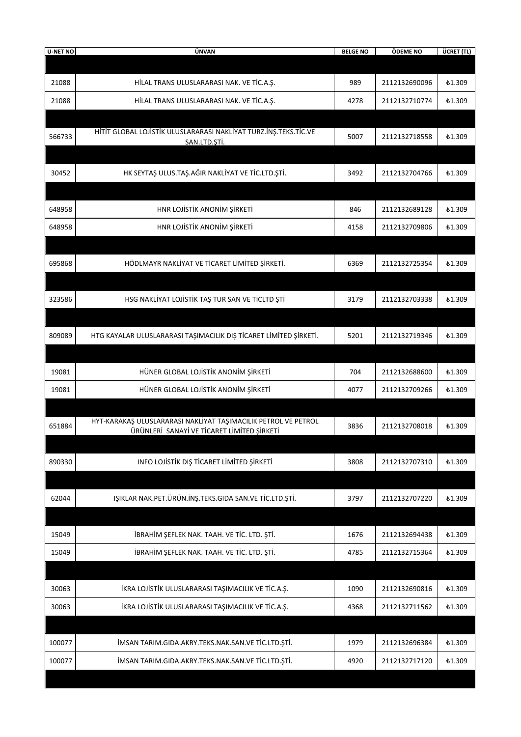| 21088<br>HİLAL TRANS ULUSLARARASI NAK. VE TİC.A.Ş.<br>989<br>2112132690096<br><b>£1.309</b><br>21088<br>HİLAL TRANS ULUSLARARASI NAK. VE TİC.A.Ş.<br>2112132710774<br>4278<br>£1.309<br>HİTİT GLOBAL LOJİSTİK ULUSLARARASI NAKLİYAT TURZ.İNŞ.TEKS.TİC.VE<br>566733<br>5007<br>2112132718558<br><b>£1.309</b><br>SAN.LTD.ŞTİ.<br>HK SEYTAŞ ULUS.TAŞ.AĞIR NAKLİYAT VE TİC.LTD.ŞTİ.<br>30452<br>3492<br>2112132704766<br><b>£1.309</b><br>648958<br>HNR LOJİSTİK ANONİM ŞİRKETİ<br>846<br>2112132689128<br>₺1.309<br>HNR LOJİSTİK ANONİM ŞİRKETİ<br>648958<br>2112132709806<br>4158<br>£1.309<br>HÖDLMAYR NAKLIYAT VE TİCARET LİMİTED ŞİRKETİ.<br>695868<br>6369<br>2112132725354<br><b>£1.309</b><br>HSG NAKLIYAT LOJISTIK TAŞ TUR SAN VE TICLTD ŞTI<br>323586<br>3179<br>2112132703338<br>£1.309<br>HTG KAYALAR ULUSLARARASI TAŞIMACILIK DIŞ TİCARET LİMİTED ŞİRKETİ.<br>809089<br>5201<br>2112132719346<br><b>£1.309</b><br>HÜNER GLOBAL LOJİSTİK ANONİM ŞİRKETİ<br>19081<br>704<br>2112132688600<br>₺1.309<br>HÜNER GLOBAL LOJİSTİK ANONİM ŞİRKETİ<br>19081<br>4077<br>2112132709266<br><b>£1.309</b><br>HYT-KARAKAŞ ULUSLARARASI NAKLİYAT TAŞIMACILIK PETROL VE PETROL<br>651884<br>3836<br>2112132708018<br><b>£1.309</b><br>ÜRÜNLERİ SANAYİ VE TİCARET LİMİTED ŞİRKETİ<br>INFO LOJİSTİK DIŞ TİCARET LİMİTED ŞİRKETİ<br>890330<br>3808<br>2112132707310<br>₺1.309<br>IŞIKLAR NAK.PET.ÜRÜN.İNŞ.TEKS.GIDA SAN.VE TİC.LTD.ŞTİ.<br>62044<br>3797<br>2112132707220<br>₺1.309<br>İBRAHİM ŞEFLEK NAK. TAAH. VE TİC. LTD. ŞTİ.<br>15049<br>1676<br>2112132694438<br>₺1.309<br>İBRAHİM ŞEFLEK NAK. TAAH. VE TİC. LTD. ŞTİ.<br>15049<br>4785<br>2112132715364<br>£1.309<br>30063<br>İKRA LOJİSTİK ULUSLARARASI TAŞIMACILIK VE TİC.A.Ş.<br>1090<br>2112132690816<br>₺1.309<br>İKRA LOJİSTİK ULUSLARARASI TAŞIMACILIK VE TİC.A.Ş.<br>30063<br>2112132711562<br>₺1.309<br>4368<br>100077<br>İMSAN TARIM.GIDA.AKRY.TEKS.NAK.SAN.VE TİC.LTD.ŞTİ.<br>1979<br>2112132696384<br>£1.309<br>İMSAN TARIM.GIDA.AKRY.TEKS.NAK.SAN.VE TİC.LTD.ŞTİ.<br>100077<br>2112132717120<br><b>£1.309</b><br>4920 | <b>U-NET NO</b> | ÜNVAN | <b>BELGE NO</b> | ÖDEME NO | ÜCRET (TL) |
|-----------------------------------------------------------------------------------------------------------------------------------------------------------------------------------------------------------------------------------------------------------------------------------------------------------------------------------------------------------------------------------------------------------------------------------------------------------------------------------------------------------------------------------------------------------------------------------------------------------------------------------------------------------------------------------------------------------------------------------------------------------------------------------------------------------------------------------------------------------------------------------------------------------------------------------------------------------------------------------------------------------------------------------------------------------------------------------------------------------------------------------------------------------------------------------------------------------------------------------------------------------------------------------------------------------------------------------------------------------------------------------------------------------------------------------------------------------------------------------------------------------------------------------------------------------------------------------------------------------------------------------------------------------------------------------------------------------------------------------------------------------------------------------------------------------------------------------------------------------------------------------------------------------------------------------------------------------------------------------------------------------------------------------------------------------------------------------|-----------------|-------|-----------------|----------|------------|
|                                                                                                                                                                                                                                                                                                                                                                                                                                                                                                                                                                                                                                                                                                                                                                                                                                                                                                                                                                                                                                                                                                                                                                                                                                                                                                                                                                                                                                                                                                                                                                                                                                                                                                                                                                                                                                                                                                                                                                                                                                                                                   |                 |       |                 |          |            |
|                                                                                                                                                                                                                                                                                                                                                                                                                                                                                                                                                                                                                                                                                                                                                                                                                                                                                                                                                                                                                                                                                                                                                                                                                                                                                                                                                                                                                                                                                                                                                                                                                                                                                                                                                                                                                                                                                                                                                                                                                                                                                   |                 |       |                 |          |            |
|                                                                                                                                                                                                                                                                                                                                                                                                                                                                                                                                                                                                                                                                                                                                                                                                                                                                                                                                                                                                                                                                                                                                                                                                                                                                                                                                                                                                                                                                                                                                                                                                                                                                                                                                                                                                                                                                                                                                                                                                                                                                                   |                 |       |                 |          |            |
|                                                                                                                                                                                                                                                                                                                                                                                                                                                                                                                                                                                                                                                                                                                                                                                                                                                                                                                                                                                                                                                                                                                                                                                                                                                                                                                                                                                                                                                                                                                                                                                                                                                                                                                                                                                                                                                                                                                                                                                                                                                                                   |                 |       |                 |          |            |
|                                                                                                                                                                                                                                                                                                                                                                                                                                                                                                                                                                                                                                                                                                                                                                                                                                                                                                                                                                                                                                                                                                                                                                                                                                                                                                                                                                                                                                                                                                                                                                                                                                                                                                                                                                                                                                                                                                                                                                                                                                                                                   |                 |       |                 |          |            |
|                                                                                                                                                                                                                                                                                                                                                                                                                                                                                                                                                                                                                                                                                                                                                                                                                                                                                                                                                                                                                                                                                                                                                                                                                                                                                                                                                                                                                                                                                                                                                                                                                                                                                                                                                                                                                                                                                                                                                                                                                                                                                   |                 |       |                 |          |            |
|                                                                                                                                                                                                                                                                                                                                                                                                                                                                                                                                                                                                                                                                                                                                                                                                                                                                                                                                                                                                                                                                                                                                                                                                                                                                                                                                                                                                                                                                                                                                                                                                                                                                                                                                                                                                                                                                                                                                                                                                                                                                                   |                 |       |                 |          |            |
|                                                                                                                                                                                                                                                                                                                                                                                                                                                                                                                                                                                                                                                                                                                                                                                                                                                                                                                                                                                                                                                                                                                                                                                                                                                                                                                                                                                                                                                                                                                                                                                                                                                                                                                                                                                                                                                                                                                                                                                                                                                                                   |                 |       |                 |          |            |
|                                                                                                                                                                                                                                                                                                                                                                                                                                                                                                                                                                                                                                                                                                                                                                                                                                                                                                                                                                                                                                                                                                                                                                                                                                                                                                                                                                                                                                                                                                                                                                                                                                                                                                                                                                                                                                                                                                                                                                                                                                                                                   |                 |       |                 |          |            |
|                                                                                                                                                                                                                                                                                                                                                                                                                                                                                                                                                                                                                                                                                                                                                                                                                                                                                                                                                                                                                                                                                                                                                                                                                                                                                                                                                                                                                                                                                                                                                                                                                                                                                                                                                                                                                                                                                                                                                                                                                                                                                   |                 |       |                 |          |            |
|                                                                                                                                                                                                                                                                                                                                                                                                                                                                                                                                                                                                                                                                                                                                                                                                                                                                                                                                                                                                                                                                                                                                                                                                                                                                                                                                                                                                                                                                                                                                                                                                                                                                                                                                                                                                                                                                                                                                                                                                                                                                                   |                 |       |                 |          |            |
|                                                                                                                                                                                                                                                                                                                                                                                                                                                                                                                                                                                                                                                                                                                                                                                                                                                                                                                                                                                                                                                                                                                                                                                                                                                                                                                                                                                                                                                                                                                                                                                                                                                                                                                                                                                                                                                                                                                                                                                                                                                                                   |                 |       |                 |          |            |
|                                                                                                                                                                                                                                                                                                                                                                                                                                                                                                                                                                                                                                                                                                                                                                                                                                                                                                                                                                                                                                                                                                                                                                                                                                                                                                                                                                                                                                                                                                                                                                                                                                                                                                                                                                                                                                                                                                                                                                                                                                                                                   |                 |       |                 |          |            |
|                                                                                                                                                                                                                                                                                                                                                                                                                                                                                                                                                                                                                                                                                                                                                                                                                                                                                                                                                                                                                                                                                                                                                                                                                                                                                                                                                                                                                                                                                                                                                                                                                                                                                                                                                                                                                                                                                                                                                                                                                                                                                   |                 |       |                 |          |            |
|                                                                                                                                                                                                                                                                                                                                                                                                                                                                                                                                                                                                                                                                                                                                                                                                                                                                                                                                                                                                                                                                                                                                                                                                                                                                                                                                                                                                                                                                                                                                                                                                                                                                                                                                                                                                                                                                                                                                                                                                                                                                                   |                 |       |                 |          |            |
|                                                                                                                                                                                                                                                                                                                                                                                                                                                                                                                                                                                                                                                                                                                                                                                                                                                                                                                                                                                                                                                                                                                                                                                                                                                                                                                                                                                                                                                                                                                                                                                                                                                                                                                                                                                                                                                                                                                                                                                                                                                                                   |                 |       |                 |          |            |
|                                                                                                                                                                                                                                                                                                                                                                                                                                                                                                                                                                                                                                                                                                                                                                                                                                                                                                                                                                                                                                                                                                                                                                                                                                                                                                                                                                                                                                                                                                                                                                                                                                                                                                                                                                                                                                                                                                                                                                                                                                                                                   |                 |       |                 |          |            |
|                                                                                                                                                                                                                                                                                                                                                                                                                                                                                                                                                                                                                                                                                                                                                                                                                                                                                                                                                                                                                                                                                                                                                                                                                                                                                                                                                                                                                                                                                                                                                                                                                                                                                                                                                                                                                                                                                                                                                                                                                                                                                   |                 |       |                 |          |            |
|                                                                                                                                                                                                                                                                                                                                                                                                                                                                                                                                                                                                                                                                                                                                                                                                                                                                                                                                                                                                                                                                                                                                                                                                                                                                                                                                                                                                                                                                                                                                                                                                                                                                                                                                                                                                                                                                                                                                                                                                                                                                                   |                 |       |                 |          |            |
|                                                                                                                                                                                                                                                                                                                                                                                                                                                                                                                                                                                                                                                                                                                                                                                                                                                                                                                                                                                                                                                                                                                                                                                                                                                                                                                                                                                                                                                                                                                                                                                                                                                                                                                                                                                                                                                                                                                                                                                                                                                                                   |                 |       |                 |          |            |
|                                                                                                                                                                                                                                                                                                                                                                                                                                                                                                                                                                                                                                                                                                                                                                                                                                                                                                                                                                                                                                                                                                                                                                                                                                                                                                                                                                                                                                                                                                                                                                                                                                                                                                                                                                                                                                                                                                                                                                                                                                                                                   |                 |       |                 |          |            |
|                                                                                                                                                                                                                                                                                                                                                                                                                                                                                                                                                                                                                                                                                                                                                                                                                                                                                                                                                                                                                                                                                                                                                                                                                                                                                                                                                                                                                                                                                                                                                                                                                                                                                                                                                                                                                                                                                                                                                                                                                                                                                   |                 |       |                 |          |            |
|                                                                                                                                                                                                                                                                                                                                                                                                                                                                                                                                                                                                                                                                                                                                                                                                                                                                                                                                                                                                                                                                                                                                                                                                                                                                                                                                                                                                                                                                                                                                                                                                                                                                                                                                                                                                                                                                                                                                                                                                                                                                                   |                 |       |                 |          |            |
|                                                                                                                                                                                                                                                                                                                                                                                                                                                                                                                                                                                                                                                                                                                                                                                                                                                                                                                                                                                                                                                                                                                                                                                                                                                                                                                                                                                                                                                                                                                                                                                                                                                                                                                                                                                                                                                                                                                                                                                                                                                                                   |                 |       |                 |          |            |
|                                                                                                                                                                                                                                                                                                                                                                                                                                                                                                                                                                                                                                                                                                                                                                                                                                                                                                                                                                                                                                                                                                                                                                                                                                                                                                                                                                                                                                                                                                                                                                                                                                                                                                                                                                                                                                                                                                                                                                                                                                                                                   |                 |       |                 |          |            |
|                                                                                                                                                                                                                                                                                                                                                                                                                                                                                                                                                                                                                                                                                                                                                                                                                                                                                                                                                                                                                                                                                                                                                                                                                                                                                                                                                                                                                                                                                                                                                                                                                                                                                                                                                                                                                                                                                                                                                                                                                                                                                   |                 |       |                 |          |            |
|                                                                                                                                                                                                                                                                                                                                                                                                                                                                                                                                                                                                                                                                                                                                                                                                                                                                                                                                                                                                                                                                                                                                                                                                                                                                                                                                                                                                                                                                                                                                                                                                                                                                                                                                                                                                                                                                                                                                                                                                                                                                                   |                 |       |                 |          |            |
|                                                                                                                                                                                                                                                                                                                                                                                                                                                                                                                                                                                                                                                                                                                                                                                                                                                                                                                                                                                                                                                                                                                                                                                                                                                                                                                                                                                                                                                                                                                                                                                                                                                                                                                                                                                                                                                                                                                                                                                                                                                                                   |                 |       |                 |          |            |
|                                                                                                                                                                                                                                                                                                                                                                                                                                                                                                                                                                                                                                                                                                                                                                                                                                                                                                                                                                                                                                                                                                                                                                                                                                                                                                                                                                                                                                                                                                                                                                                                                                                                                                                                                                                                                                                                                                                                                                                                                                                                                   |                 |       |                 |          |            |
|                                                                                                                                                                                                                                                                                                                                                                                                                                                                                                                                                                                                                                                                                                                                                                                                                                                                                                                                                                                                                                                                                                                                                                                                                                                                                                                                                                                                                                                                                                                                                                                                                                                                                                                                                                                                                                                                                                                                                                                                                                                                                   |                 |       |                 |          |            |
|                                                                                                                                                                                                                                                                                                                                                                                                                                                                                                                                                                                                                                                                                                                                                                                                                                                                                                                                                                                                                                                                                                                                                                                                                                                                                                                                                                                                                                                                                                                                                                                                                                                                                                                                                                                                                                                                                                                                                                                                                                                                                   |                 |       |                 |          |            |
|                                                                                                                                                                                                                                                                                                                                                                                                                                                                                                                                                                                                                                                                                                                                                                                                                                                                                                                                                                                                                                                                                                                                                                                                                                                                                                                                                                                                                                                                                                                                                                                                                                                                                                                                                                                                                                                                                                                                                                                                                                                                                   |                 |       |                 |          |            |
|                                                                                                                                                                                                                                                                                                                                                                                                                                                                                                                                                                                                                                                                                                                                                                                                                                                                                                                                                                                                                                                                                                                                                                                                                                                                                                                                                                                                                                                                                                                                                                                                                                                                                                                                                                                                                                                                                                                                                                                                                                                                                   |                 |       |                 |          |            |
|                                                                                                                                                                                                                                                                                                                                                                                                                                                                                                                                                                                                                                                                                                                                                                                                                                                                                                                                                                                                                                                                                                                                                                                                                                                                                                                                                                                                                                                                                                                                                                                                                                                                                                                                                                                                                                                                                                                                                                                                                                                                                   |                 |       |                 |          |            |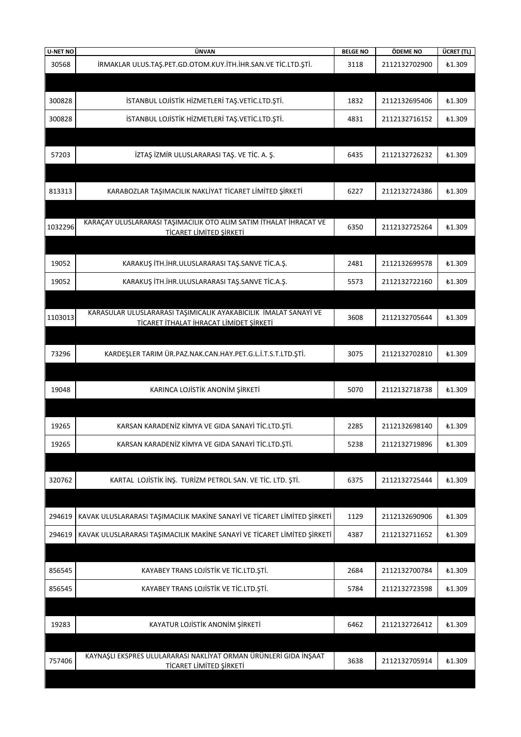| <b>U-NET NO</b> | ÜNVAN                                                                                                       | <b>BELGE NO</b> | ÖDEME NO      | ÜCRET (TL)    |
|-----------------|-------------------------------------------------------------------------------------------------------------|-----------------|---------------|---------------|
| 30568           | İRMAKLAR ULUS.TAŞ.PET.GD.OTOM.KUY.İTH.İHR.SAN.VE TİC.LTD.ŞTİ.                                               | 3118            | 2112132702900 | £1.309        |
|                 |                                                                                                             |                 |               |               |
| 300828          | İSTANBUL LOJİSTİK HİZMETLERİ TAŞ.VETİC.LTD.ŞTİ.                                                             | 1832            | 2112132695406 | <b>£1.309</b> |
| 300828          | İSTANBUL LOJİSTİK HİZMETLERİ TAŞ.VETİC.LTD.ŞTİ.                                                             | 4831            | 2112132716152 | <b>£1.309</b> |
|                 |                                                                                                             |                 |               |               |
| 57203           | İZTAŞ İZMİR ULUSLARARASI TAŞ. VE TİC. A. Ş.                                                                 | 6435            | 2112132726232 | <b>£1.309</b> |
|                 |                                                                                                             |                 |               |               |
| 813313          | KARABOZLAR TAŞIMACILIK NAKLİYAT TİCARET LİMİTED ŞİRKETİ                                                     | 6227            | 2112132724386 | £1.309        |
|                 |                                                                                                             |                 |               |               |
| 1032296         | KARAÇAY ULUSLARARASI TAŞIMACILIK OTO ALIM SATIM İTHALAT İHRACAT VE<br>TİCARET LİMİTED ŞİRKETİ               | 6350            | 2112132725264 | £1.309        |
|                 |                                                                                                             |                 |               |               |
| 19052           | KARAKUŞ İTH.İHR.ULUSLARARASI TAŞ.SANVE TİC.A.Ş.                                                             | 2481            | 2112132699578 | <b>£1.309</b> |
| 19052           | KARAKUŞ İTH.İHR.ULUSLARARASI TAŞ.SANVE TİC.A.Ş.                                                             | 5573            | 2112132722160 | <b>£1.309</b> |
|                 |                                                                                                             |                 |               |               |
| 1103013         | KARASULAR ULUSLARARASI TAŞIMICALIK AYAKABICILIK İMALAT SANAYİ VE<br>TİCARET İTHALAT İHRACAT LİMİDET ŞİRKETİ | 3608            | 2112132705644 | <b>£1.309</b> |
|                 |                                                                                                             |                 |               |               |
| 73296           | KARDEŞLER TARIM ÜR.PAZ.NAK.CAN.HAY.PET.G.L.İ.T.S.T.LTD.ŞTİ.                                                 | 3075            | 2112132702810 | £1.309        |
|                 |                                                                                                             |                 |               |               |
| 19048           | KARINCA LOJİSTİK ANONİM ŞİRKETİ                                                                             | 5070            | 2112132718738 | <b>£1.309</b> |
|                 |                                                                                                             |                 |               |               |
| 19265           | KARSAN KARADENİZ KİMYA VE GIDA SANAYİ TİC.LTD.ŞTİ.                                                          | 2285            | 2112132698140 | £1.309        |
| 19265           | KARSAN KARADENİZ KİMYA VE GIDA SANAYİ TİC.LTD.ŞTİ.                                                          | 5238            | 2112132719896 | <b>£1.309</b> |
|                 |                                                                                                             |                 |               |               |
| 320762          | KARTAL LOJİSTİK İNŞ. TURİZM PETROL SAN. VE TİC. LTD. ŞTİ.                                                   | 6375            | 2112132725444 | <b>£1.309</b> |
|                 |                                                                                                             |                 |               |               |
| 294619          | KAVAK ULUSLARARASI TAŞIMACILIK MAKİNE SANAYİ VE TİCARET LİMİTED ŞİRKETİ                                     | 1129            | 2112132690906 | <b>£1.309</b> |
| 294619          | KAVAK ULUSLARARASI TAŞIMACILIK MAKİNE SANAYİ VE TİCARET LİMİTED ŞİRKETİ                                     | 4387            | 2112132711652 | <b>£1.309</b> |
|                 |                                                                                                             |                 |               |               |
| 856545          | KAYABEY TRANS LOJİSTİK VE TİC.LTD.ŞTİ.                                                                      | 2684            | 2112132700784 | <b>£1.309</b> |
| 856545          | KAYABEY TRANS LOJİSTİK VE TİC.LTD.ŞTİ.                                                                      | 5784            | 2112132723598 | £1.309        |
|                 |                                                                                                             |                 |               |               |
| 19283           | KAYATUR LOJİSTİK ANONİM ŞİRKETİ                                                                             | 6462            | 2112132726412 | <b>£1.309</b> |
|                 |                                                                                                             |                 |               |               |
| 757406          | KAYNAŞLI EKSPRES ULULARARASI NAKLİYAT ORMAN ÜRÜNLERİ GIDA İNŞAAT<br>TİCARET LİMİTED ŞİRKETİ                 | 3638            | 2112132705914 | <b>£1.309</b> |
|                 |                                                                                                             |                 |               |               |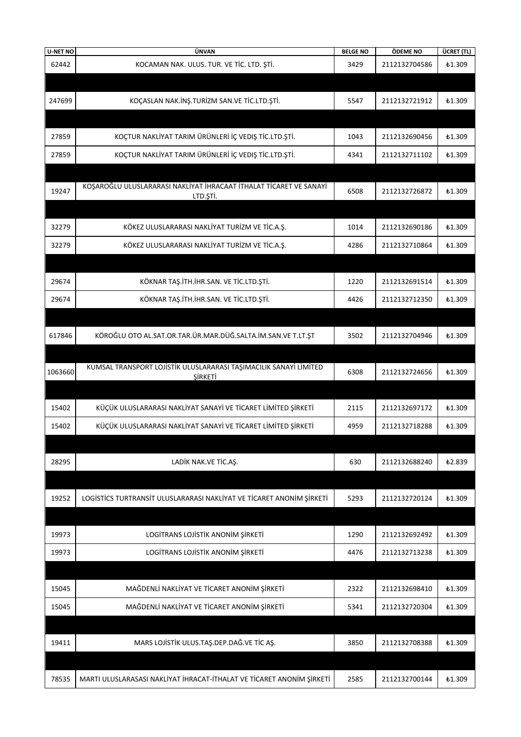| <b>U-NET NO</b> | ÜNVAN                                                                               | <b>BELGE NO</b> | ÖDEME NO      | ÜCRET (TL)    |
|-----------------|-------------------------------------------------------------------------------------|-----------------|---------------|---------------|
| 62442           | KOCAMAN NAK. ULUS. TUR. VE TİC. LTD. ŞTİ.                                           | 3429            | 2112132704586 | £1.309        |
|                 |                                                                                     |                 |               |               |
| 247699          | KOÇASLAN NAK.İNŞ.TURİZM SAN.VE TİC.LTD.ŞTİ.                                         | 5547            | 2112132721912 | <b>£1.309</b> |
|                 |                                                                                     |                 |               |               |
| 27859           | KOÇTUR NAKLİYAT TARIM ÜRÜNLERİ İÇ VEDIŞ TİC.LTD.ŞTİ.                                | 1043            | 2112132690456 | <b>£1.309</b> |
| 27859           | KOÇTUR NAKLİYAT TARIM ÜRÜNLERİ İÇ VEDIŞ TİC.LTD.ŞTİ.                                | 4341            | 2112132711102 | <b>£1.309</b> |
|                 |                                                                                     |                 |               |               |
| 19247           | KOŞAROĞLU ULUSLARARASI NAKLIYAT İHRACAAT İTHALAT TİCARET VE SANAYİ<br>LTD.ŞTİ.      | 6508            | 2112132726872 | <b>£1.309</b> |
|                 |                                                                                     |                 |               |               |
| 32279           | KÖKEZ ULUSLARARASI NAKLİYAT TURİZM VE TİC.A.Ş.                                      | 1014            | 2112132690186 | ₺1.309        |
| 32279           | KÖKEZ ULUSLARARASI NAKLİYAT TURİZM VE TİC.A.Ş.                                      | 4286            | 2112132710864 | £1.309        |
|                 |                                                                                     |                 |               |               |
| 29674           | KÖKNAR TAŞ.İTH.İHR.SAN. VE TİC.LTD.ŞTİ.                                             | 1220            | 2112132691514 | <b>£1.309</b> |
| 29674           | KÖKNAR TAŞ.İTH.İHR.SAN. VE TİC.LTD.ŞTİ.                                             | 4426            | 2112132712350 | <b>£1.309</b> |
|                 |                                                                                     |                 |               |               |
| 617846          | KÖROĞLU OTO AL.SAT.OR.TAR.ÜR.MAR.DÜĞ.SALTA.İM.SAN.VE T.LT.ŞT                        | 3502            | 2112132704946 | <b>£1.309</b> |
|                 |                                                                                     |                 |               |               |
| 1063660         | KUMSAL TRANSPORT LOJİSTİK ULUSLARARASI TAŞIMACILIK SANAYİ LİMİTED<br><b>ŞİRKETİ</b> | 6308            | 2112132724656 | <b>£1.309</b> |
|                 |                                                                                     |                 |               |               |
| 15402           | KÜÇÜK ULUSLARARASI NAKLIYAT SANAYI VE TICARET LIMITED ŞIRKETI                       | 2115            | 2112132697172 | £1.309        |
| 15402           | KÜÇÜK ULUSLARARASI NAKLİYAT SANAYİ VE TİCARET LİMİTED ŞİRKETİ                       | 4959            | 2112132718288 | <b>£1.309</b> |
|                 |                                                                                     |                 |               |               |
| 28295           | LADİK NAK.VE TİC.AŞ.                                                                | 630             | 2112132688240 | ₺2.839        |
|                 |                                                                                     |                 |               |               |
| 19252           | LOGISTICS TURTRANSIT ULUSLARARASI NAKLIYAT VE TICARET ANONIM ŞIRKETI                | 5293            | 2112132720124 | £1.309        |
|                 |                                                                                     |                 |               |               |
| 19973           | LOGİTRANS LOJİSTİK ANONİM ŞİRKETİ                                                   | 1290            | 2112132692492 | ₺1.309        |
| 19973           | LOGİTRANS LOJİSTİK ANONİM ŞİRKETİ                                                   | 4476            | 2112132713238 | ₺1.309        |
|                 |                                                                                     |                 |               |               |
| 15045           | MAĞDENLİ NAKLİYAT VE TİCARET ANONİM ŞİRKETİ                                         | 2322            | 2112132698410 | ₺1.309        |
| 15045           | MAĞDENLİ NAKLİYAT VE TİCARET ANONİM ŞİRKETİ                                         | 5341            | 2112132720304 | <b>£1.309</b> |
|                 |                                                                                     |                 |               |               |
| 19411           | MARS LOJİSTİK ULUS.TAŞ.DEP.DAĞ.VE TİC AŞ.                                           | 3850            | 2112132708388 | <b>£1.309</b> |
|                 |                                                                                     |                 |               |               |
| 78535           | MARTI ULUSLARASASI NAKLIYAT İHRACAT-İTHALAT VE TİCARET ANONİM ŞİRKETİ               | 2585            | 2112132700144 | £1.309        |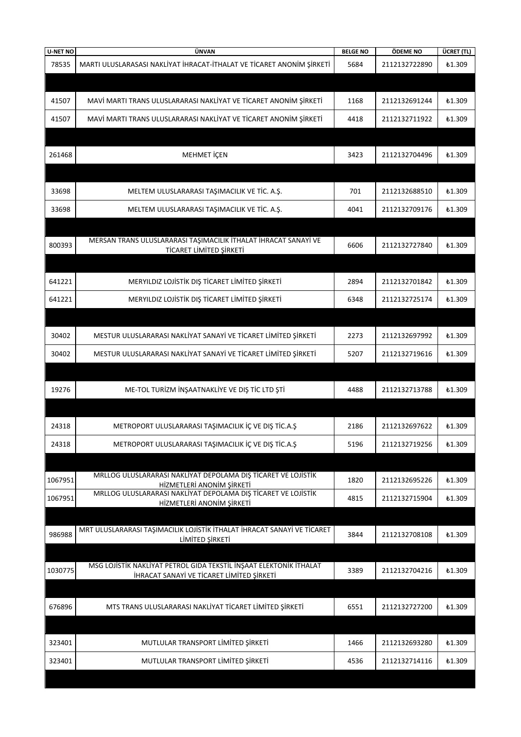| <b>U-NET NO</b> | ÜNVAN                                                                                      | <b>BELGE NO</b> | ÖDEME NO      | ÜCRET (TL)    |
|-----------------|--------------------------------------------------------------------------------------------|-----------------|---------------|---------------|
| 78535           | MARTI ULUSLARASASI NAKLIYAT İHRACAT-İTHALAT VE TİCARET ANONİM ŞİRKETİ                      | 5684            | 2112132722890 | ₺1.309        |
|                 |                                                                                            |                 |               |               |
|                 |                                                                                            |                 |               |               |
| 41507           | MAVİ MARTI TRANS ULUSLARARASI NAKLİYAT VE TİCARET ANONİM ŞİRKETİ                           | 1168            | 2112132691244 | £1.309        |
| 41507           | MAVİ MARTI TRANS ULUSLARARASI NAKLİYAT VE TİCARET ANONİM ŞİRKETİ                           | 4418            | 2112132711922 | £1.309        |
|                 |                                                                                            |                 |               |               |
|                 |                                                                                            |                 |               |               |
| 261468          | MEHMET İÇEN                                                                                | 3423            | 2112132704496 | £1.309        |
|                 |                                                                                            |                 |               |               |
| 33698           | MELTEM ULUSLARARASI TAŞIMACILIK VE TİC. A.Ş.                                               | 701             | 2112132688510 | <b>£1.309</b> |
| 33698           | MELTEM ULUSLARARASI TAŞIMACILIK VE TİC. A.Ş.                                               | 4041            | 2112132709176 | £1.309        |
|                 |                                                                                            |                 |               |               |
|                 |                                                                                            |                 |               |               |
| 800393          | MERSAN TRANS ULUSLARARASI TAŞIMACILIK İTHALAT İHRACAT SANAYİ VE<br>TİCARET LİMİTED ŞİRKETİ | 6606            | 2112132727840 | £1.309        |
|                 |                                                                                            |                 |               |               |
| 641221          | MERYILDIZ LOJİSTİK DIŞ TİCARET LİMİTED ŞİRKETİ                                             | 2894            | 2112132701842 | ₺1.309        |
|                 |                                                                                            |                 |               |               |
| 641221          | MERYILDIZ LOJİSTİK DIŞ TİCARET LİMİTED ŞİRKETİ                                             | 6348            | 2112132725174 | <b>£1.309</b> |
|                 |                                                                                            |                 |               |               |
| 30402           | MESTUR ULUSLARARASI NAKLİYAT SANAYİ VE TİCARET LİMİTED ŞİRKETİ                             | 2273            | 2112132697992 | £1.309        |
| 30402           | MESTUR ULUSLARARASI NAKLİYAT SANAYİ VE TİCARET LİMİTED ŞİRKETİ                             | 5207            | 2112132719616 | £1.309        |
|                 |                                                                                            |                 |               |               |
|                 |                                                                                            |                 |               |               |
| 19276           | ME-TOL TURIZM INŞAATNAKLIYE VE DIŞ TİC LTD ŞTİ                                             | 4488            | 2112132713788 | <b>£1.309</b> |
|                 |                                                                                            |                 |               |               |
| 24318           | METROPORT ULUSLARARASI TAŞIMACILIK İÇ VE DIŞ TİC.A.Ş                                       | 2186            | 2112132697622 | <b>£1.309</b> |
|                 |                                                                                            |                 |               |               |
| 24318           | METROPORT ULUSLARARASI TAŞIMACILIK İÇ VE DIŞ TİC.A.Ş                                       | 5196            | 2112132719256 | <b>£1.309</b> |
|                 |                                                                                            |                 |               |               |
| 1067951         | MRLLOG ULUSLARARASI NAKLİYAT DEPOLAMA DIŞ TİCARET VE LOJİSTİK                              | 1820            | 2112132695226 | <b>£1.309</b> |
| 1067951         | HİZMETLERİ ANONİM ŞİRKETİ<br>MRLLOG ULUSLARARASI NAKLİYAT DEPOLAMA DIŞ TİCARET VE LOJİSTİK | 4815            | 2112132715904 | <b>£1.309</b> |
|                 | HİZMETLERİ ANONİM ŞİRKETİ                                                                  |                 |               |               |
|                 |                                                                                            |                 |               |               |
| 986988          | MRT ULUSLARARASI TAŞIMACILIK LOJİSTİK İTHALAT İHRACAT SANAYİ VE TİCARET<br>LİMİTED ŞİRKETİ | 3844            | 2112132708108 | £1.309        |
|                 |                                                                                            |                 |               |               |
|                 | MSG LOJİSTİK NAKLİYAT PETROL GIDA TEKSTİL İNŞAAT ELEKTONİK İTHALAT                         |                 |               |               |
| 1030775         | <b>İHRACAT SANAYİ VE TİCARET LİMİTED ŞİRKETİ</b>                                           | 3389            | 2112132704216 | <b>£1.309</b> |
|                 |                                                                                            |                 |               |               |
| 676896          | MTS TRANS ULUSLARARASI NAKLIYAT TICARET LIMITED ŞIRKETI                                    | 6551            | 2112132727200 | £1.309        |
|                 |                                                                                            |                 |               |               |
|                 |                                                                                            |                 |               |               |
| 323401          | MUTLULAR TRANSPORT LİMİTED ŞİRKETİ                                                         | 1466            | 2112132693280 | <b>£1.309</b> |
| 323401          | MUTLULAR TRANSPORT LİMİTED ŞİRKETİ                                                         | 4536            | 2112132714116 | <b>£1.309</b> |
|                 |                                                                                            |                 |               |               |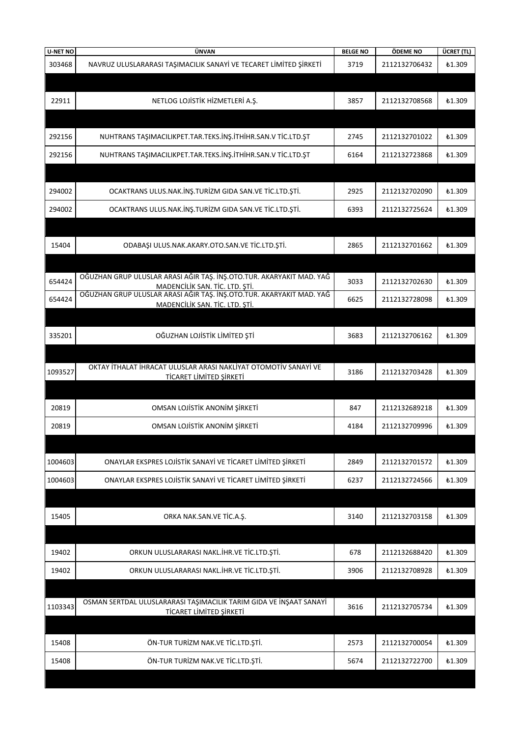| <b>U-NET NO</b> | ÜNVAN                                                                                                  | <b>BELGE NO</b> | ÖDEME NO      | ÜCRET (TL)    |
|-----------------|--------------------------------------------------------------------------------------------------------|-----------------|---------------|---------------|
| 303468          | NAVRUZ ULUSLARARASI TAŞIMACILIK SANAYİ VE TECARET LİMİTED ŞİRKETİ                                      | 3719            | 2112132706432 | £1.309        |
|                 |                                                                                                        |                 |               |               |
| 22911           | NETLOG LOJİSTİK HİZMETLERİ A.Ş.                                                                        | 3857            | 2112132708568 | <b>£1.309</b> |
|                 |                                                                                                        |                 |               |               |
| 292156          | NUHTRANS TAŞIMACILIKPET.TAR.TEKS.İNŞ.İTHİHR.SAN.V TİC.LTD.ŞT                                           | 2745            | 2112132701022 | <b>£1.309</b> |
| 292156          | NUHTRANS TAŞIMACILIKPET.TAR.TEKS.İNŞ.İTHİHR.SAN.V TİC.LTD.ŞT                                           | 6164            | 2112132723868 | £1.309        |
|                 |                                                                                                        |                 |               |               |
| 294002          | OCAKTRANS ULUS.NAK.İNŞ.TURİZM GIDA SAN.VE TİC.LTD.ŞTİ.                                                 | 2925            | 2112132702090 | £1.309        |
| 294002          | OCAKTRANS ULUS.NAK.İNŞ.TURİZM GIDA SAN.VE TİC.LTD.ŞTİ.                                                 | 6393            | 2112132725624 | £1.309        |
|                 |                                                                                                        |                 |               |               |
| 15404           | ODABAŞI ULUS.NAK.AKARY.OTO.SAN.VE TİC.LTD.ŞTİ.                                                         | 2865            | 2112132701662 | £1.309        |
|                 |                                                                                                        |                 |               |               |
| 654424          | OĞUZHAN GRUP ULUSLAR ARASI AĞIR TAŞ. İNŞ.OTO.TUR. AKARYAKIT MAD. YAĞ<br>MADENCİLİK SAN. TİC. LTD. ŞTİ. | 3033            | 2112132702630 | £1.309        |
| 654424          | OĞUZHAN GRUP ULUSLAR ARASI AĞIR TAŞ. İNŞ.OTO.TUR. AKARYAKIT MAD. YAĞ<br>MADENCİLİK SAN. TİC. LTD. ŞTİ. | 6625            | 2112132728098 | £1.309        |
|                 |                                                                                                        |                 |               |               |
| 335201          | OĞUZHAN LOJİSTİK LİMİTED ŞTİ                                                                           | 3683            | 2112132706162 | £1.309        |
|                 |                                                                                                        |                 |               |               |
| 1093527         | OKTAY İTHALAT İHRACAT ULUSLAR ARASI NAKLİYAT OTOMOTİV SANAYİ VE<br>TİCARET LİMİTED ŞİRKETİ             | 3186            | 2112132703428 | £1.309        |
|                 |                                                                                                        |                 |               |               |
| 20819           | OMSAN LOJİSTİK ANONİM ŞİRKETİ                                                                          | 847             | 2112132689218 | £1.309        |
| 20819           | OMSAN LOJİSTİK ANONİM ŞİRKETİ                                                                          | 4184            | 2112132709996 | £1.309        |
|                 |                                                                                                        |                 |               |               |
| 1004603         | ONAYLAR EKSPRES LOJİSTİK SANAYİ VE TİCARET LİMİTED ŞİRKETİ                                             | 2849            | 2112132701572 | <b>£1.309</b> |
| 1004603         | ONAYLAR EKSPRES LOJİSTİK SANAYİ VE TİCARET LİMİTED ŞİRKETİ                                             | 6237            | 2112132724566 | <b>£1.309</b> |
|                 |                                                                                                        |                 |               |               |
| 15405           | ORKA NAK.SAN.VE TİC.A.Ş.                                                                               | 3140            | 2112132703158 | <b>£1.309</b> |
|                 |                                                                                                        |                 |               |               |
| 19402           | ORKUN ULUSLARARASI NAKL.İHR.VE TİC.LTD.ŞTİ.                                                            | 678             | 2112132688420 | £1.309        |
| 19402           | ORKUN ULUSLARARASI NAKL.İHR.VE TİC.LTD.ŞTİ.                                                            | 3906            | 2112132708928 | £1.309        |
|                 |                                                                                                        |                 |               |               |
| 1103343         | OSMAN SERTDAL ULUSLARARASI TAŞIMACILIK TARIM GIDA VE İNŞAAT SANAYİ<br>TİCARET LİMİTED ŞİRKETİ          | 3616            | 2112132705734 | £1.309        |
|                 |                                                                                                        |                 |               |               |
| 15408           | ÖN-TUR TURİZM NAK.VE TİC.LTD.ŞTİ.                                                                      | 2573            | 2112132700054 | <b>£1.309</b> |
| 15408           | ÖN-TUR TURİZM NAK.VE TİC.LTD.ŞTİ.                                                                      | 5674            | 2112132722700 | £1.309        |
|                 |                                                                                                        |                 |               |               |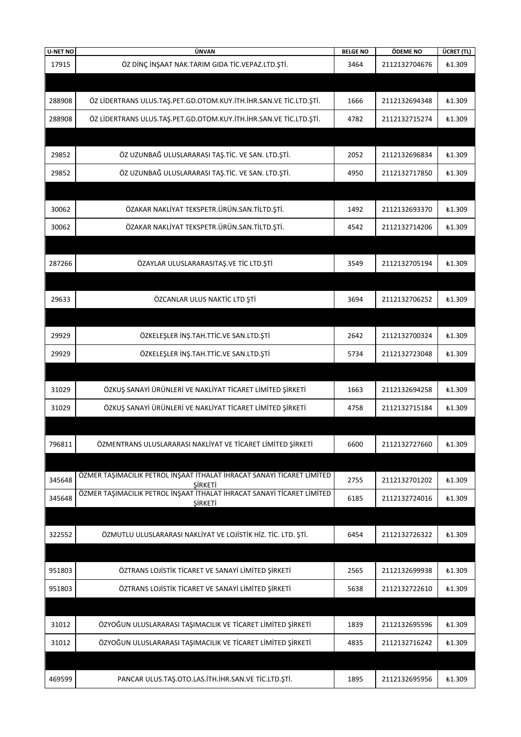| <b>U-NET NO</b> | ÜNVAN                                                                                    | <b>BELGE NO</b> | ÖDEME NO      | ÜCRET (TL)    |
|-----------------|------------------------------------------------------------------------------------------|-----------------|---------------|---------------|
| 17915           | ÖZ DİNÇ İNŞAAT NAK.TARIM GIDA TİC.VEPAZ.LTD.ŞTİ.                                         | 3464            | 2112132704676 | <b>£1.309</b> |
|                 |                                                                                          |                 |               |               |
| 288908          | ÖZ LİDERTRANS ULUS.TAŞ.PET.GD.OTOM.KUY.İTH.İHR.SAN.VE TİC.LTD.ŞTİ.                       | 1666            | 2112132694348 | <b>£1.309</b> |
|                 |                                                                                          |                 |               |               |
| 288908          | ÖZ LİDERTRANS ULUS.TAŞ.PET.GD.OTOM.KUY.İTH.İHR.SAN.VE TİC.LTD.ŞTİ.                       | 4782            | 2112132715274 | £1.309        |
|                 |                                                                                          |                 |               |               |
| 29852           | ÖZ UZUNBAĞ ULUSLARARASI TAŞ.TİC. VE SAN. LTD.ŞTİ.                                        | 2052            | 2112132696834 | <b>£1.309</b> |
| 29852           | ÖZ UZUNBAĞ ULUSLARARASI TAŞ.TİC. VE SAN. LTD.ŞTİ.                                        | 4950            | 2112132717850 | £1.309        |
|                 |                                                                                          |                 |               |               |
| 30062           | ÖZAKAR NAKLİYAT TEKSPETR.ÜRÜN.SAN.TİLTD.ŞTİ.                                             | 1492            | 2112132693370 | <b>£1.309</b> |
|                 |                                                                                          |                 |               |               |
| 30062           | ÖZAKAR NAKLİYAT TEKSPETR.ÜRÜN.SAN.TİLTD.ŞTİ.                                             | 4542            | 2112132714206 | <b>£1.309</b> |
|                 |                                                                                          |                 |               |               |
| 287266          | ÖZAYLAR ULUSLARARASITAŞ.VE TİC LTD.ŞTİ                                                   | 3549            | 2112132705194 | £1.309        |
|                 |                                                                                          |                 |               |               |
| 29633           | ÖZCANLAR ULUS NAKTİC LTD ŞTİ                                                             | 3694            | 2112132706252 | <b>£1.309</b> |
|                 |                                                                                          |                 |               |               |
|                 |                                                                                          |                 |               |               |
| 29929           | ÖZKELEŞLER İNŞ.TAH.TTİC.VE SAN.LTD.ŞTİ                                                   | 2642            | 2112132700324 | <b>£1.309</b> |
| 29929           | ÖZKELEŞLER İNŞ.TAH.TTİC.VE SAN.LTD.ŞTİ                                                   | 5734            | 2112132723048 | £1.309        |
|                 |                                                                                          |                 |               |               |
| 31029           | ÖZKUŞ SANAYİ ÜRÜNLERİ VE NAKLİYAT TİCARET LİMİTED ŞİRKETİ                                | 1663            | 2112132694258 | <b>£1.309</b> |
| 31029           | ÖZKUŞ SANAYİ ÜRÜNLERİ VE NAKLİYAT TİCARET LİMİTED ŞİRKETİ                                | 4758            | 2112132715184 | £1.309        |
|                 |                                                                                          |                 |               |               |
| 796811          | ÖZMENTRANS ULUSLARARASI NAKLİYAT VE TİCARET LİMİTED ŞİRKETİ                              | 6600            | 2112132727660 | <b>£1.309</b> |
|                 |                                                                                          |                 |               |               |
|                 |                                                                                          |                 |               |               |
| 345648          | ÖZMER TAŞIMACILIK PETROL İNŞAAT İTHALAT İHRACAT SANAYİ TİCARET LİMİTED<br>SIRKETI        | 2755            | 2112132701202 | <b>£1.309</b> |
| 345648          | ÖZMER TAŞIMACILIK PETROL İNŞAAT İTHALAT İHRACAT SANAYİ TİCARET LİMİTED<br><b>ŞİRKETİ</b> | 6185            | 2112132724016 | £1.309        |
|                 |                                                                                          |                 |               |               |
| 322552          | ÖZMUTLU ULUSLARARASI NAKLİYAT VE LOJİSTİK HİZ. TİC. LTD. ŞTİ.                            | 6454            | 2112132726322 | <b>£1.309</b> |
|                 |                                                                                          |                 |               |               |
|                 |                                                                                          |                 |               |               |
| 951803          | ÖZTRANS LOJİSTİK TİCARET VE SANAYİ LİMİTED ŞİRKETİ                                       | 2565            | 2112132699938 | £1.309        |
| 951803          | ÖZTRANS LOJİSTİK TİCARET VE SANAYİ LİMİTED ŞİRKETİ                                       | 5638            | 2112132722610 | £1.309        |
|                 |                                                                                          |                 |               |               |
| 31012           | ÖZYOĞUN ULUSLARARASI TAŞIMACILIK VE TİCARET LİMİTED ŞİRKETİ                              | 1839            | 2112132695596 | £1.309        |
| 31012           | ÖZYOĞUN ULUSLARARASI TAŞIMACILIK VE TİCARET LİMİTED ŞİRKETİ                              | 4835            | 2112132716242 | £1.309        |
|                 |                                                                                          |                 |               |               |
|                 |                                                                                          |                 |               |               |
| 469599          | PANCAR ULUS.TAŞ.OTO.LAS.İTH.İHR.SAN.VE TİC.LTD.ŞTİ.                                      | 1895            | 2112132695956 | <b>£1.309</b> |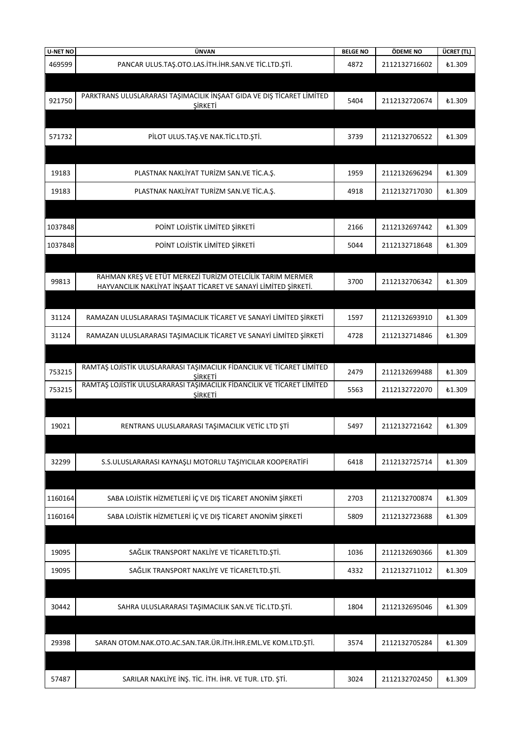| <b>U-NET NO</b> | ÜNVAN                                                                             | <b>BELGE NO</b> | ÖDEME NO      | ÜCRET (TL)    |
|-----------------|-----------------------------------------------------------------------------------|-----------------|---------------|---------------|
| 469599          | PANCAR ULUS.TAŞ.OTO.LAS.İTH.İHR.SAN.VE TİC.LTD.ŞTİ.                               | 4872            | 2112132716602 | £1.309        |
|                 |                                                                                   |                 |               |               |
|                 | PARKTRANS ULUSLARARASI TAŞIMACILIK İNŞAAT GIDA VE DIŞ TİCARET LİMİTED             |                 |               |               |
| 921750          | ŞİRKETİ                                                                           | 5404            | 2112132720674 | <b>£1.309</b> |
|                 |                                                                                   |                 |               |               |
| 571732          | PİLOT ULUS.TAŞ.VE NAK.TİC.LTD.ŞTİ.                                                | 3739            | 2112132706522 | <b>£1.309</b> |
|                 |                                                                                   |                 |               |               |
|                 |                                                                                   |                 |               |               |
| 19183           | PLASTNAK NAKLIYAT TURİZM SAN.VE TİC.A.Ş.                                          | 1959            | 2112132696294 | <b>£1.309</b> |
| 19183           | PLASTNAK NAKLIYAT TURİZM SAN.VE TİC.A.Ş.                                          | 4918            | 2112132717030 | <b>£1.309</b> |
|                 |                                                                                   |                 |               |               |
|                 |                                                                                   |                 |               |               |
| 1037848         | POINT LOJISTIK LIMITED ŞIRKETI                                                    | 2166            | 2112132697442 | <b>£1.309</b> |
| 1037848         | POINT LOJISTIK LIMITED ŞIRKETI                                                    | 5044            | 2112132718648 | £1.309        |
|                 |                                                                                   |                 |               |               |
| 99813           | RAHMAN KREŞ VE ETÜT MERKEZİ TURİZM OTELCİLİK TARIM MERMER                         | 3700            | 2112132706342 | <b>£1.309</b> |
|                 | HAYVANCILIK NAKLİYAT İNŞAAT TİCARET VE SANAYİ LİMİTED ŞİRKETİ.                    |                 |               |               |
|                 |                                                                                   |                 |               |               |
| 31124           | RAMAZAN ULUSLARARASI TAŞIMACILIK TİCARET VE SANAYİ LİMİTED ŞİRKETİ                | 1597            | 2112132693910 | <b>£1.309</b> |
| 31124           | RAMAZAN ULUSLARARASI TAŞIMACILIK TİCARET VE SANAYİ LİMİTED ŞİRKETİ                | 4728            | 2112132714846 | £1.309        |
|                 |                                                                                   |                 |               |               |
|                 | RAMTAŞ LOJİSTİK ULUSLARARASI TAŞIMACILIK FİDANCILIK VE TİCARET LİMİTED            |                 |               |               |
| 753215          | SIRKETI<br>RAMTAŞ LOJİSTİK ULUSLARARASI TAŞIMACILIK FİDANCILIK VE TİCARET LİMİTED | 2479            | 2112132699488 | <b>£1.309</b> |
| 753215          | <b><i>ŞİRKETİ</i></b>                                                             | 5563            | 2112132722070 | £1.309        |
|                 |                                                                                   |                 |               |               |
| 19021           | RENTRANS ULUSLARARASI TAŞIMACILIK VETİC LTD ŞTİ                                   | 5497            | 2112132721642 | <b>£1.309</b> |
|                 |                                                                                   |                 |               |               |
|                 |                                                                                   |                 |               |               |
| 32299           | S.S.ULUSLARARASI KAYNAŞLI MOTORLU TAŞIYICILAR KOOPERATİFİ                         | 6418            | 2112132725714 | £1.309        |
|                 |                                                                                   |                 |               |               |
| 1160164         | SABA LOJİSTİK HİZMETLERİ İÇ VE DIŞ TİCARET ANONİM ŞİRKETİ                         | 2703            | 2112132700874 | £1.309        |
|                 |                                                                                   |                 |               |               |
| 1160164         | SABA LOJİSTİK HİZMETLERİ İÇ VE DIŞ TİCARET ANONİM ŞİRKETİ                         | 5809            | 2112132723688 | <b>£1.309</b> |
|                 |                                                                                   |                 |               |               |
| 19095           | SAĞLIK TRANSPORT NAKLİYE VE TİCARETLTD.ŞTİ.                                       | 1036            | 2112132690366 | ₺1.309        |
| 19095           | SAĞLIK TRANSPORT NAKLİYE VE TİCARETLTD.ŞTİ.                                       | 4332            | 2112132711012 | ₺1.309        |
|                 |                                                                                   |                 |               |               |
|                 |                                                                                   |                 |               |               |
| 30442           | SAHRA ULUSLARARASI TAŞIMACILIK SAN.VE TİC.LTD.ŞTİ.                                | 1804            | 2112132695046 | <b>£1.309</b> |
|                 |                                                                                   |                 |               |               |
| 29398           | SARAN OTOM.NAK.OTO.AC.SAN.TAR.ÜR.İTH.İHR.EML.VE KOM.LTD.ŞTİ.                      | 3574            | 2112132705284 | <b>£1.309</b> |
|                 |                                                                                   |                 |               |               |
|                 |                                                                                   |                 |               |               |
| 57487           | SARILAR NAKLİYE İNŞ. TİC. İTH. İHR. VE TUR. LTD. ŞTİ.                             | 3024            | 2112132702450 | £1.309        |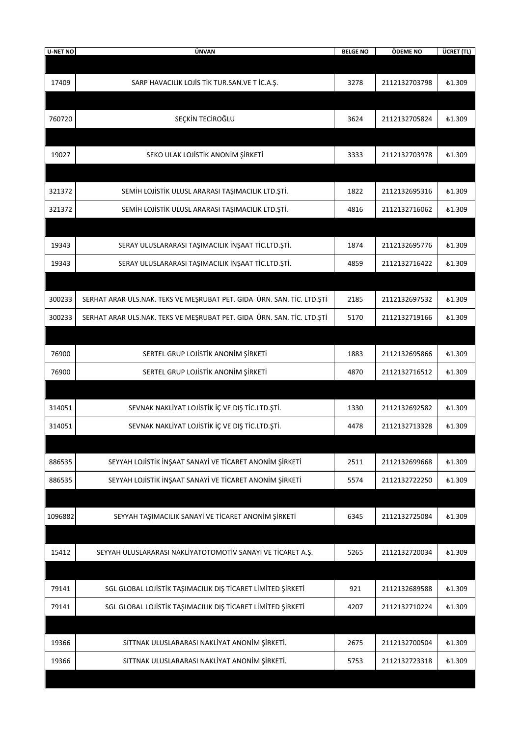| U-NET NO | ÜNVAN                                                                  | <b>BELGE NO</b> | ÖDEME NO      | ÜCRET (TL)    |
|----------|------------------------------------------------------------------------|-----------------|---------------|---------------|
|          |                                                                        |                 |               |               |
| 17409    | SARP HAVACILIK LOJİS TİK TUR.SAN.VE T İC.A.Ş.                          | 3278            | 2112132703798 | ₺1.309        |
|          |                                                                        |                 |               |               |
| 760720   | SEÇKİN TECİROĞLU                                                       | 3624            | 2112132705824 | <b>£1.309</b> |
|          |                                                                        |                 |               |               |
| 19027    | SEKO ULAK LOJİSTİK ANONİM ŞİRKETİ                                      | 3333            | 2112132703978 | £1.309        |
| 321372   | SEMİH LOJİSTİK ULUSL ARARASI TAŞIMACILIK LTD.ŞTİ.                      | 1822            | 2112132695316 | <b>£1.309</b> |
| 321372   | SEMİH LOJİSTİK ULUSL ARARASI TAŞIMACILIK LTD.ŞTİ.                      | 4816            | 2112132716062 | <b>£1.309</b> |
|          |                                                                        |                 |               |               |
| 19343    | SERAY ULUSLARARASI TAŞIMACILIK İNŞAAT TİC.LTD.ŞTİ.                     | 1874            | 2112132695776 | <b>£1.309</b> |
| 19343    | SERAY ULUSLARARASI TAŞIMACILIK İNŞAAT TİC.LTD.ŞTİ.                     | 4859            | 2112132716422 | £1.309        |
|          |                                                                        |                 |               |               |
| 300233   | SERHAT ARAR ULS.NAK. TEKS VE MEŞRUBAT PET. GIDA ÜRN. SAN. TİC. LTD.ŞTİ | 2185            | 2112132697532 | <b>£1.309</b> |
| 300233   | SERHAT ARAR ULS.NAK. TEKS VE MEŞRUBAT PET. GIDA ÜRN. SAN. TİC. LTD.ŞTİ | 5170            | 2112132719166 | <b>£1.309</b> |
|          |                                                                        |                 |               |               |
| 76900    | SERTEL GRUP LOJİSTİK ANONİM ŞİRKETİ                                    | 1883            | 2112132695866 | <b>£1.309</b> |
| 76900    | SERTEL GRUP LOJİSTİK ANONİM ŞİRKETİ                                    | 4870            | 2112132716512 | <b>£1.309</b> |
|          |                                                                        |                 |               |               |
| 314051   | SEVNAK NAKLİYAT LOJİSTİK İÇ VE DIŞ TİC.LTD.ŞTİ.                        | 1330            | 2112132692582 | ₺1.309        |
| 314051   | SEVNAK NAKLIYAT LOJISTIK IÇ VE DIŞ TIC.LTD.ŞTİ.                        | 4478            | 2112132713328 | ₺1.309        |
|          |                                                                        |                 |               |               |
| 886535   | SEYYAH LOJİSTİK İNŞAAT SANAYİ VE TİCARET ANONİM ŞİRKETİ                | 2511            | 2112132699668 | ₺1.309        |
| 886535   | SEYYAH LOJİSTİK İNŞAAT SANAYİ VE TİCARET ANONİM ŞİRKETİ                | 5574            | 2112132722250 | ₺1.309        |
|          |                                                                        |                 |               |               |
| 1096882  | SEYYAH TAŞIMACILIK SANAYİ VE TİCARET ANONİM ŞİRKETİ                    | 6345            | 2112132725084 | ₺1.309        |
|          |                                                                        |                 |               |               |
| 15412    | SEYYAH ULUSLARARASI NAKLİYATOTOMOTİV SANAYİ VE TİCARET A.Ş.            | 5265            | 2112132720034 | ₺1.309        |
|          |                                                                        |                 |               |               |
| 79141    | SGL GLOBAL LOJİSTİK TAŞIMACILIK DIŞ TİCARET LİMİTED ŞİRKETİ            | 921             | 2112132689588 | £1.309        |
| 79141    | SGL GLOBAL LOJİSTİK TAŞIMACILIK DIŞ TİCARET LİMİTED ŞİRKETİ            | 4207            | 2112132710224 | ₺1.309        |
|          |                                                                        |                 |               |               |
| 19366    | SITTNAK ULUSLARARASI NAKLİYAT ANONİM ŞİRKETİ.                          | 2675            | 2112132700504 | ₺1.309        |
| 19366    | SITTNAK ULUSLARARASI NAKLİYAT ANONİM ŞİRKETİ.                          | 5753            | 2112132723318 | ₺1.309        |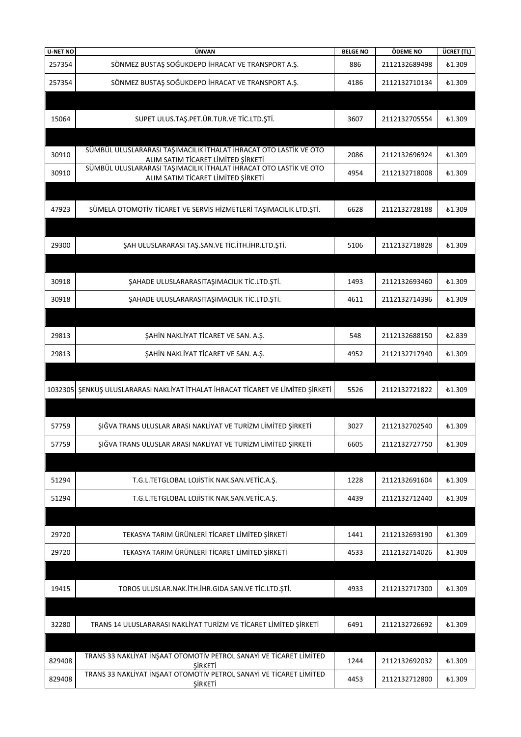| <b>U-NET NO</b> | ÜNVAN                                                                                                   | <b>BELGE NO</b> | ÖDEME NO      | ÜCRET (TL)    |
|-----------------|---------------------------------------------------------------------------------------------------------|-----------------|---------------|---------------|
| 257354          | SÖNMEZ BUSTAŞ SOĞUKDEPO İHRACAT VE TRANSPORT A.Ş.                                                       | 886             | 2112132689498 | <b>£1.309</b> |
| 257354          | SÖNMEZ BUSTAŞ SOĞUKDEPO İHRACAT VE TRANSPORT A.Ş.                                                       | 4186            | 2112132710134 | £1.309        |
|                 |                                                                                                         |                 |               |               |
| 15064           | SUPET ULUS.TAŞ.PET.ÜR.TUR.VE TİC.LTD.ŞTİ.                                                               | 3607            | 2112132705554 | £1.309        |
|                 |                                                                                                         |                 |               |               |
| 30910           | SÜMBÜL ULUSLARARASI TAŞIMACILIK İTHALAT İHRACAT OTO LASTİK VE OTO<br>ALIM SATIM TİCARET LİMİTED ŞİRKETİ | 2086            | 2112132696924 | £1.309        |
| 30910           | SÜMBÜL ULUSLARARASI TAŞIMACILIK İTHALAT İHRACAT OTO LASTİK VE OTO<br>ALIM SATIM TİCARET LİMİTED ŞİRKETİ | 4954            | 2112132718008 | £1.309        |
|                 |                                                                                                         |                 |               |               |
| 47923           | SÜMELA OTOMOTİV TİCARET VE SERVİS HİZMETLERİ TAŞIMACILIK LTD.ŞTİ.                                       | 6628            | 2112132728188 | £1.309        |
|                 |                                                                                                         |                 |               |               |
| 29300           | ŞAH ULUSLARARASI TAŞ.SAN.VE TİC.İTH.İHR.LTD.ŞTİ.                                                        | 5106            | 2112132718828 | £1.309        |
|                 |                                                                                                         |                 |               |               |
| 30918           | ŞAHADE ULUSLARARASITAŞIMACILIK TİC.LTD.ŞTİ.                                                             | 1493            | 2112132693460 | £1.309        |
| 30918           | ŞAHADE ULUSLARARASITAŞIMACILIK TİC.LTD.ŞTİ.                                                             | 4611            | 2112132714396 | £1.309        |
|                 |                                                                                                         |                 |               |               |
| 29813           |                                                                                                         |                 | 2112132688150 | £2.839        |
|                 | ŞAHİN NAKLİYAT TİCARET VE SAN. A.Ş.                                                                     | 548             |               |               |
| 29813           | ŞAHİN NAKLİYAT TİCARET VE SAN. A.Ş.                                                                     | 4952            | 2112132717940 | £1.309        |
|                 |                                                                                                         |                 |               |               |
|                 | 1032305 ŞENKUŞ ULUSLARARASI NAKLİYAT İTHALAT İHRACAT TİCARET VE LİMİTED ŞİRKETİ                         | 5526            | 2112132721822 | £1.309        |
|                 |                                                                                                         |                 |               |               |
| 57759           | ŞIĞVA TRANS ULUSLAR ARASI NAKLİYAT VE TURİZM LİMİTED ŞİRKETİ                                            | 3027            | 2112132702540 | £1.309        |
| 57759           | ŞIĞVA TRANS ULUSLAR ARASI NAKLİYAT VE TURİZM LİMİTED ŞİRKETİ                                            | 6605            | 2112132727750 | <b>£1.309</b> |
|                 |                                                                                                         |                 |               |               |
| 51294           | T.G.L.TETGLOBAL LOJİSTİK NAK.SAN.VETİC.A.Ş.                                                             | 1228            | 2112132691604 | ₺1.309        |
| 51294           | T.G.L.TETGLOBAL LOJİSTİK NAK.SAN.VETİC.A.Ş.                                                             | 4439            | 2112132712440 | £1.309        |
|                 |                                                                                                         |                 |               |               |
| 29720           | TEKASYA TARIM ÜRÜNLERİ TİCARET LİMİTED ŞİRKETİ                                                          | 1441            | 2112132693190 | <b>£1.309</b> |
| 29720           | TEKASYA TARIM ÜRÜNLERİ TİCARET LİMİTED ŞİRKETİ                                                          | 4533            | 2112132714026 | <b>£1.309</b> |
|                 |                                                                                                         |                 |               |               |
| 19415           | TOROS ULUSLAR.NAK.İTH.İHR.GIDA SAN.VE TİC.LTD.ŞTİ.                                                      | 4933            | 2112132717300 | <b>£1.309</b> |
|                 |                                                                                                         |                 |               |               |
| 32280           | TRANS 14 ULUSLARARASI NAKLİYAT TURİZM VE TİCARET LİMİTED ŞİRKETİ                                        | 6491            | 2112132726692 | <b>£1.309</b> |
|                 |                                                                                                         |                 |               |               |
| 829408          | TRANS 33 NAKLIYAT INŞAAT OTOMOTIV PETROL SANAYI VE TICARET LIMITED                                      | 1244            | 2112132692032 | <b>£1.309</b> |
| 829408          | <b>SIRKETI</b><br>TRANS 33 NAKLIYAT INŞAAT OTOMOTIV PETROL SANAYI VE TICARET LIMITED                    | 4453            | 2112132712800 | <b>£1.309</b> |
|                 | <b>ŞİRKETİ</b>                                                                                          |                 |               |               |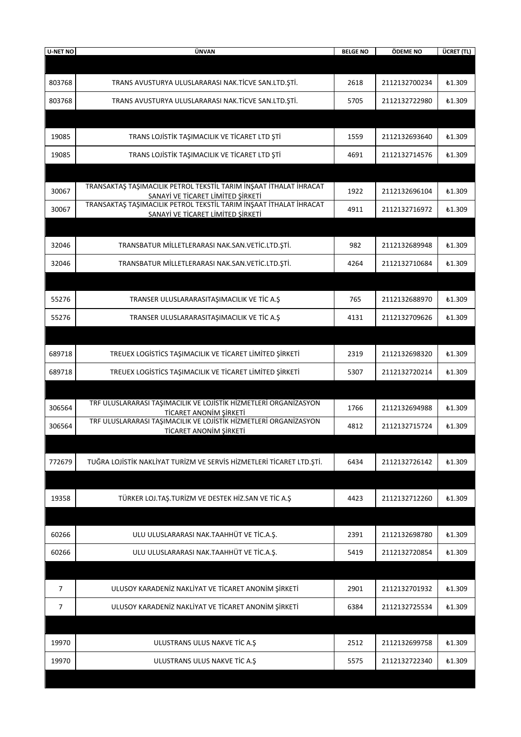| <b>U-NET NO</b> | ÜNVAN                                                                                                                                                                         | <b>BELGE NO</b> | ÖDEME NO      | ÜCRET (TL)    |
|-----------------|-------------------------------------------------------------------------------------------------------------------------------------------------------------------------------|-----------------|---------------|---------------|
|                 |                                                                                                                                                                               |                 |               |               |
| 803768          | TRANS AVUSTURYA ULUSLARARASI NAK.TİCVE SAN.LTD.ŞTİ.                                                                                                                           | 2618            | 2112132700234 | <b>£1.309</b> |
| 803768          | TRANS AVUSTURYA ULUSLARARASI NAK.TİCVE SAN.LTD.ŞTİ.                                                                                                                           | 5705            | 2112132722980 | £1.309        |
|                 |                                                                                                                                                                               |                 |               |               |
| 19085           | TRANS LOJİSTİK TAŞIMACILIK VE TİCARET LTD ŞTİ                                                                                                                                 | 1559            | 2112132693640 | <b>£1.309</b> |
| 19085           | TRANS LOJİSTİK TAŞIMACILIK VE TİCARET LTD ŞTİ                                                                                                                                 | 4691            | 2112132714576 | £1.309        |
|                 |                                                                                                                                                                               |                 |               |               |
| 30067           | TRANSAKTAŞ TAŞIMACILIK PETROL TEKSTİL TARIM İNŞAAT İTHALAT İHRACAT<br>SANAYİ VE TİCARET LİMİTED ŞİRKETİ<br>TRANSAKTAŞ TAŞIMACILIK PETROL TEKSTİL TARIM İNŞAAT İTHALAT İHRACAT | 1922            | 2112132696104 | £1.309        |
| 30067           | SANAYİ VE TİCARET LİMİTED ŞİRKETİ                                                                                                                                             | 4911            | 2112132716972 | £1.309        |
|                 |                                                                                                                                                                               |                 |               |               |
| 32046           | TRANSBATUR MİLLETLERARASI NAK.SAN.VETİC.LTD.ŞTİ.                                                                                                                              | 982             | 2112132689948 | £1.309        |
| 32046           | TRANSBATUR MİLLETLERARASI NAK.SAN.VETİC.LTD.ŞTİ.                                                                                                                              | 4264            | 2112132710684 | £1.309        |
|                 |                                                                                                                                                                               |                 |               |               |
| 55276           | TRANSER ULUSLARARASITAŞIMACILIK VE TİC A.Ş                                                                                                                                    | 765             | 2112132688970 | <b>£1.309</b> |
| 55276           | TRANSER ULUSLARARASITAŞIMACILIK VE TİC A.Ş                                                                                                                                    | 4131            | 2112132709626 | £1.309        |
|                 |                                                                                                                                                                               |                 |               |               |
| 689718          | TREUEX LOGISTICS TAŞIMACILIK VE TİCARET LİMİTED ŞİRKETİ                                                                                                                       | 2319            | 2112132698320 | £1.309        |
| 689718          | TREUEX LOGISTICS TAŞIMACILIK VE TİCARET LİMİTED ŞİRKETİ                                                                                                                       | 5307            | 2112132720214 | £1.309        |
|                 |                                                                                                                                                                               |                 |               |               |
| 306564          | TRF ULUSLARARASI TAŞIMACILIK VE LOJİSTİK HİZMETLERİ ORGANIZASYON<br>TİCARET ANONİM ŞİRKETİ                                                                                    | 1766            | 2112132694988 | £1.309        |
| 306564          | TRF ULUSLARARASI TAŞIMACILIK VE LOJİSTİK HİZMETLERİ ORGANIZASYON                                                                                                              | 4812            | 2112132715724 | £1.309        |
|                 | TİCARET ANONİM ŞİRKETİ                                                                                                                                                        |                 |               |               |
| 772679          | TUĞRA LOJİSTİK NAKLİYAT TURİZM VE SERVİS HİZMETLERİ TİCARET LTD.ŞTİ.                                                                                                          | 6434            | 2112132726142 | £1.309        |
|                 |                                                                                                                                                                               |                 |               |               |
|                 |                                                                                                                                                                               |                 |               |               |
| 19358           | TÜRKER LOJ.TAŞ.TURİZM VE DESTEK HİZ.SAN VE TİC A.Ş                                                                                                                            | 4423            | 2112132712260 | ₺1.309        |
|                 |                                                                                                                                                                               |                 |               |               |
| 60266           | ULU ULUSLARARASI NAK.TAAHHÜT VE TİC.A.Ş.                                                                                                                                      | 2391            | 2112132698780 | £1.309        |
| 60266           | ULU ULUSLARARASI NAK.TAAHHÜT VE TİC.A.Ş.                                                                                                                                      | 5419            | 2112132720854 | £1.309        |
|                 |                                                                                                                                                                               |                 |               |               |
| $\overline{7}$  | ULUSOY KARADENİZ NAKLİYAT VE TİCARET ANONİM ŞİRKETİ                                                                                                                           | 2901            | 2112132701932 | £1.309        |
| 7               | ULUSOY KARADENİZ NAKLİYAT VE TİCARET ANONİM ŞİRKETİ                                                                                                                           | 6384            | 2112132725534 | £1.309        |
|                 |                                                                                                                                                                               |                 |               |               |
| 19970           | ULUSTRANS ULUS NAKVE TİC A.Ş                                                                                                                                                  | 2512            | 2112132699758 | ₺1.309        |
| 19970           | ULUSTRANS ULUS NAKVE TIC A.Ş                                                                                                                                                  | 5575            | 2112132722340 | <b>£1.309</b> |
|                 |                                                                                                                                                                               |                 |               |               |